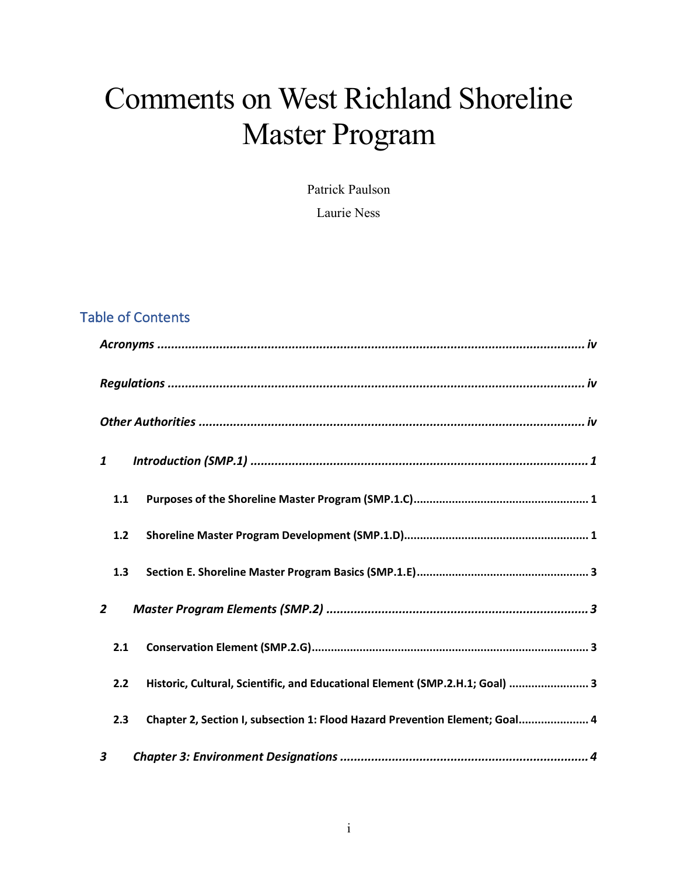# Comments on West Richland Shoreline Master Program

Patrick Paulson

Laurie Ness

## Table of Contents

| 1                |                                                                              |  |  |  |
|------------------|------------------------------------------------------------------------------|--|--|--|
| 1.1              |                                                                              |  |  |  |
| 1.2              |                                                                              |  |  |  |
| 1.3              |                                                                              |  |  |  |
| $\overline{2}$   |                                                                              |  |  |  |
| 2.1              |                                                                              |  |  |  |
| 2.2              | Historic, Cultural, Scientific, and Educational Element (SMP.2.H.1; Goal)  3 |  |  |  |
| 2.3              | Chapter 2, Section I, subsection 1: Flood Hazard Prevention Element; Goal 4  |  |  |  |
| $\boldsymbol{3}$ |                                                                              |  |  |  |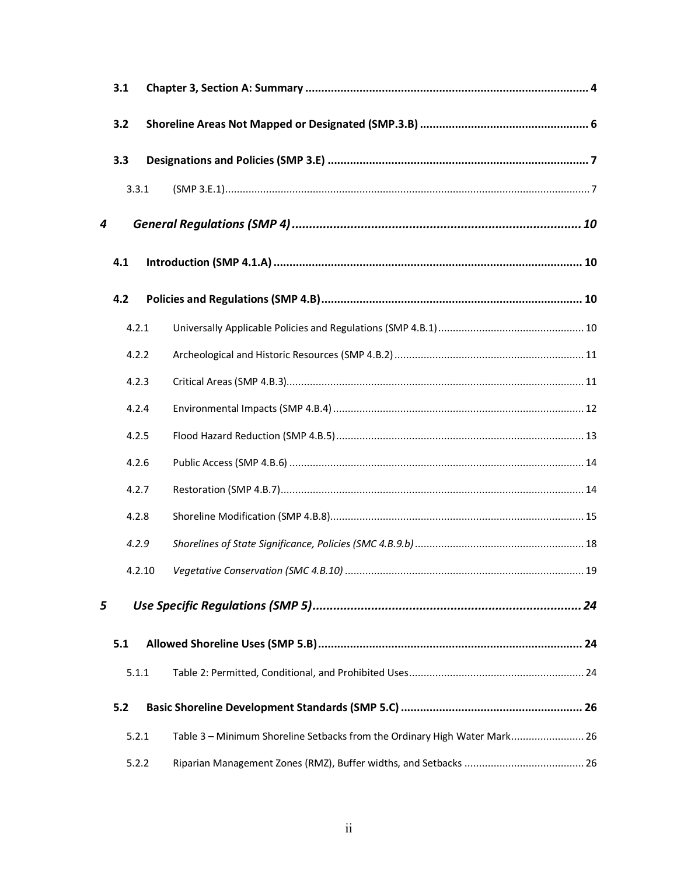|   | 3.1    |  |                                                                           |  |  |  |
|---|--------|--|---------------------------------------------------------------------------|--|--|--|
|   | 3.2    |  |                                                                           |  |  |  |
|   | 3.3    |  |                                                                           |  |  |  |
|   | 3.3.1  |  |                                                                           |  |  |  |
| 4 |        |  |                                                                           |  |  |  |
|   | 4.1    |  |                                                                           |  |  |  |
|   | 4.2    |  |                                                                           |  |  |  |
|   | 4.2.1  |  |                                                                           |  |  |  |
|   | 4.2.2  |  |                                                                           |  |  |  |
|   | 4.2.3  |  |                                                                           |  |  |  |
|   | 4.2.4  |  |                                                                           |  |  |  |
|   | 4.2.5  |  |                                                                           |  |  |  |
|   | 4.2.6  |  |                                                                           |  |  |  |
|   | 4.2.7  |  |                                                                           |  |  |  |
|   | 4.2.8  |  |                                                                           |  |  |  |
|   | 4.2.9  |  |                                                                           |  |  |  |
|   | 4.2.10 |  |                                                                           |  |  |  |
| 5 |        |  |                                                                           |  |  |  |
|   | 5.1    |  |                                                                           |  |  |  |
|   | 5.1.1  |  |                                                                           |  |  |  |
|   | 5.2    |  |                                                                           |  |  |  |
|   | 5.2.1  |  | Table 3 - Minimum Shoreline Setbacks from the Ordinary High Water Mark 26 |  |  |  |
|   | 5.2.2  |  |                                                                           |  |  |  |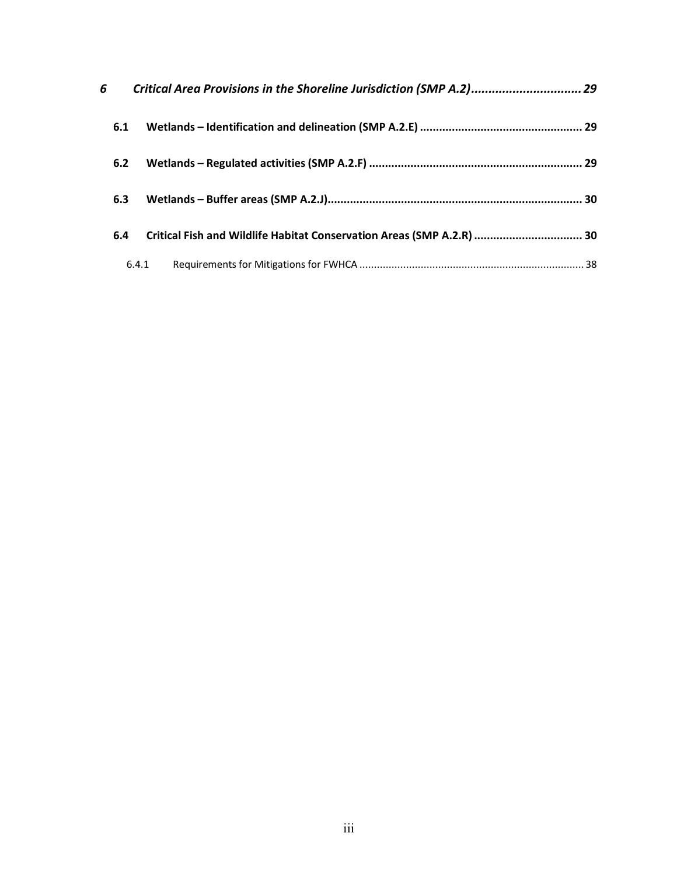| 6 |     |       |                                                                       |  |
|---|-----|-------|-----------------------------------------------------------------------|--|
|   | 6.1 |       |                                                                       |  |
|   | 6.2 |       |                                                                       |  |
|   | 6.3 |       |                                                                       |  |
|   | 6.4 |       | Critical Fish and Wildlife Habitat Conservation Areas (SMP A.2.R)  30 |  |
|   |     | 6.4.1 |                                                                       |  |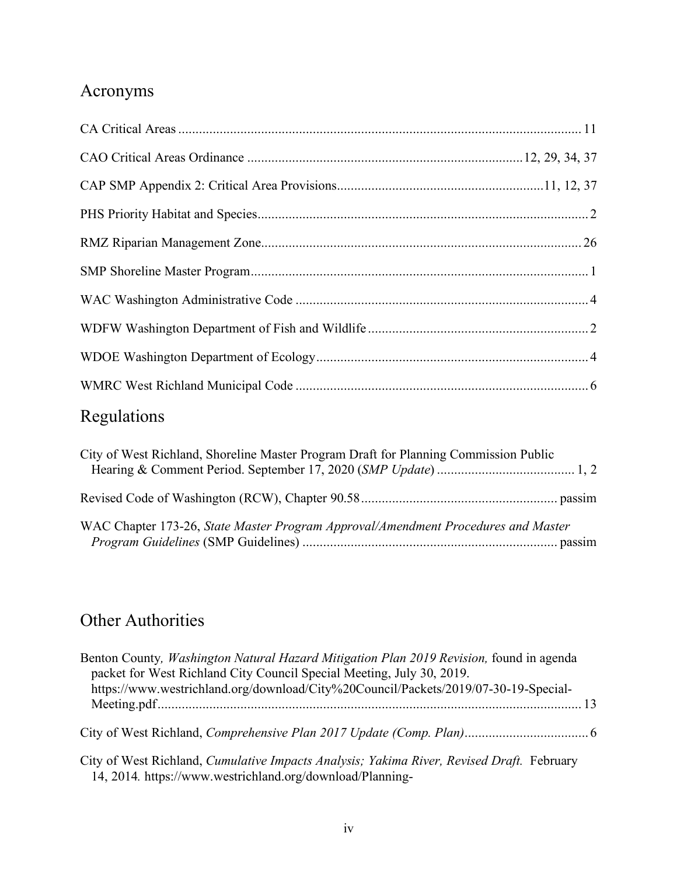## Acronyms

## Regulations

| City of West Richland, Shoreline Master Program Draft for Planning Commission Public |  |
|--------------------------------------------------------------------------------------|--|
|                                                                                      |  |
| WAC Chapter 173-26, State Master Program Approval/Amendment Procedures and Master    |  |

## Other Authorities

| Benton County, Washington Natural Hazard Mitigation Plan 2019 Revision, found in agenda<br>packet for West Richland City Council Special Meeting, July 30, 2019.<br>https://www.westrichland.org/download/City%20Council/Packets/2019/07-30-19-Special- |  |
|---------------------------------------------------------------------------------------------------------------------------------------------------------------------------------------------------------------------------------------------------------|--|
|                                                                                                                                                                                                                                                         |  |
|                                                                                                                                                                                                                                                         |  |
| City of West Richland, <i>Cumulative Impacts Analysis; Yakima River, Revised Draft.</i> February<br>14, 2014. https://www.westrichland.org/download/Planning-                                                                                           |  |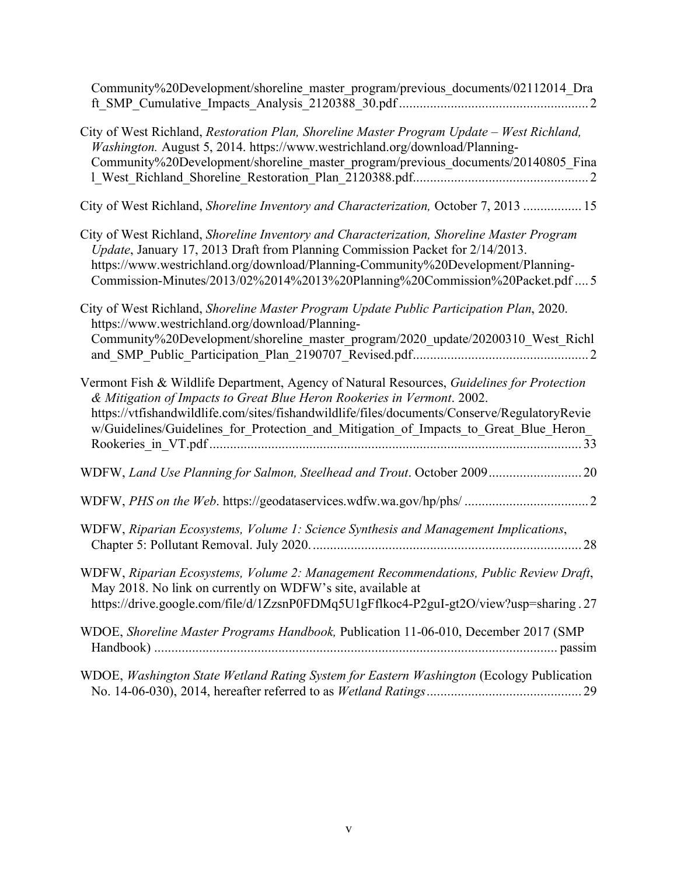| Community%20Development/shoreline_master_program/previous_documents/02112014_Dra                                                                                                                                                                                                                                                                               |
|----------------------------------------------------------------------------------------------------------------------------------------------------------------------------------------------------------------------------------------------------------------------------------------------------------------------------------------------------------------|
| City of West Richland, Restoration Plan, Shoreline Master Program Update - West Richland,<br>Washington. August 5, 2014. https://www.westrichland.org/download/Planning-<br>Community%20Development/shoreline_master_program/previous_documents/20140805_Fina                                                                                                  |
| City of West Richland, Shoreline Inventory and Characterization, October 7, 2013  15                                                                                                                                                                                                                                                                           |
| City of West Richland, Shoreline Inventory and Characterization, Shoreline Master Program<br>Update, January 17, 2013 Draft from Planning Commission Packet for 2/14/2013.<br>https://www.westrichland.org/download/Planning-Community%20Development/Planning-<br>Commission-Minutes/2013/02%2014%2013%20Planning%20Commission%20Packet.pdf  5                 |
| City of West Richland, Shoreline Master Program Update Public Participation Plan, 2020.<br>https://www.westrichland.org/download/Planning-<br>Community%20Development/shoreline_master_program/2020_update/20200310_West_Richl                                                                                                                                 |
| Vermont Fish & Wildlife Department, Agency of Natural Resources, Guidelines for Protection<br>& Mitigation of Impacts to Great Blue Heron Rookeries in Vermont. 2002.<br>https://vtfishandwildlife.com/sites/fishandwildlife/files/documents/Conserve/RegulatoryRevie<br>w/Guidelines/Guidelines_for_Protection_and_Mitigation_of_Impacts_to_Great_Blue_Heron_ |
| WDFW, Land Use Planning for Salmon, Steelhead and Trout. October 2009 20                                                                                                                                                                                                                                                                                       |
|                                                                                                                                                                                                                                                                                                                                                                |
| WDFW, Riparian Ecosystems, Volume 1: Science Synthesis and Management Implications,                                                                                                                                                                                                                                                                            |
| WDFW, Riparian Ecosystems, Volume 2: Management Recommendations, Public Review Draft,<br>May 2018. No link on currently on WDFW's site, available at<br>https://drive.google.com/file/d/1ZzsnP0FDMq5U1gFflkoc4-P2guI-gt2O/view?usp=sharing.27                                                                                                                  |
| WDOE, Shoreline Master Programs Handbook, Publication 11-06-010, December 2017 (SMP                                                                                                                                                                                                                                                                            |
| WDOE, Washington State Wetland Rating System for Eastern Washington (Ecology Publication                                                                                                                                                                                                                                                                       |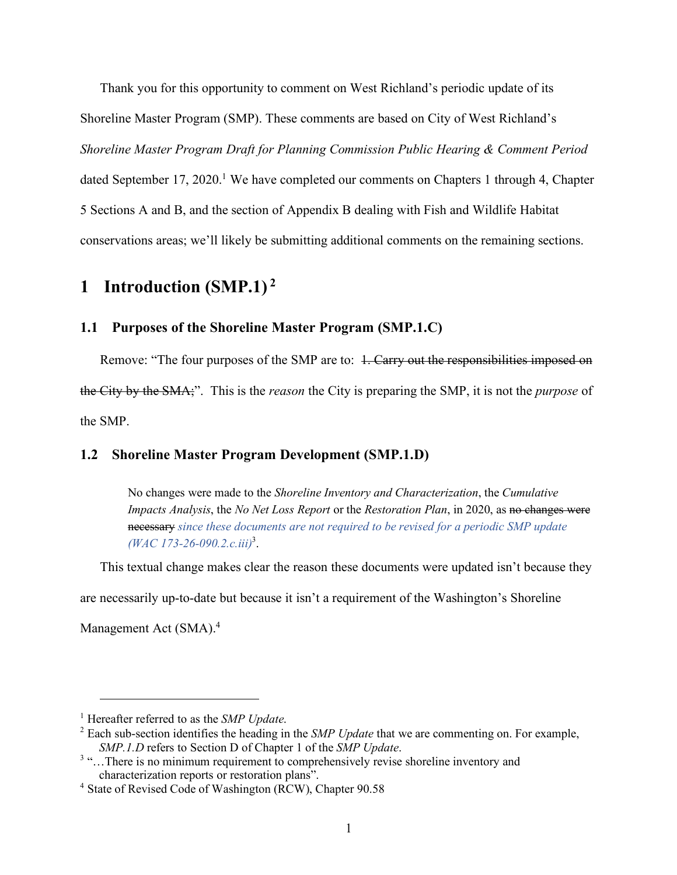Thank you for this opportunity to comment on West Richland's periodic update of its Shoreline Master Program (SMP). These comments are based on City of West Richland's *Shoreline Master Program Draft for Planning Commission Public Hearing & Comment Period* dated September 17, 2020.<sup>1</sup> We have completed our comments on Chapters 1 through 4, Chapter 5 Sections A and B, and the section of Appendix B dealing with Fish and Wildlife Habitat conservations areas; we'll likely be submitting additional comments on the remaining sections.

## **1 Introduction (SMP.1) <sup>2</sup>**

#### **1.1 Purposes of the Shoreline Master Program (SMP.1.C)**

Remove: "The four purposes of the SMP are to: 1. Carry out the responsibilities imposed on the City by the SMA;". This is the *reason* the City is preparing the SMP, it is not the *purpose* of the SMP.

#### **1.2 Shoreline Master Program Development (SMP.1.D)**

No changes were made to the *Shoreline Inventory and Characterization*, the *Cumulative Impacts Analysis*, the *No Net Loss Report* or the *Restoration Plan*, in 2020, as no changes were necessary *since these documents are not required to be revised for a periodic SMP update (WAC 173-26-090.2.c.iii)*<sup>3</sup> .

This textual change makes clear the reason these documents were updated isn't because they

are necessarily up-to-date but because it isn't a requirement of the Washington's Shoreline

Management Act (SMA).<sup>4</sup>

 $\overline{a}$ 

<sup>1</sup> Hereafter referred to as the *SMP Update*.

<sup>2</sup> Each sub-section identifies the heading in the *SMP Update* that we are commenting on. For example, *SMP.1.D* refers to Section D of Chapter 1 of the *SMP Update*.

<sup>&</sup>lt;sup>3</sup> "...There is no minimum requirement to comprehensively revise shoreline inventory and characterization reports or restoration plans".

<sup>4</sup> State of Revised Code of Washington (RCW), Chapter 90.58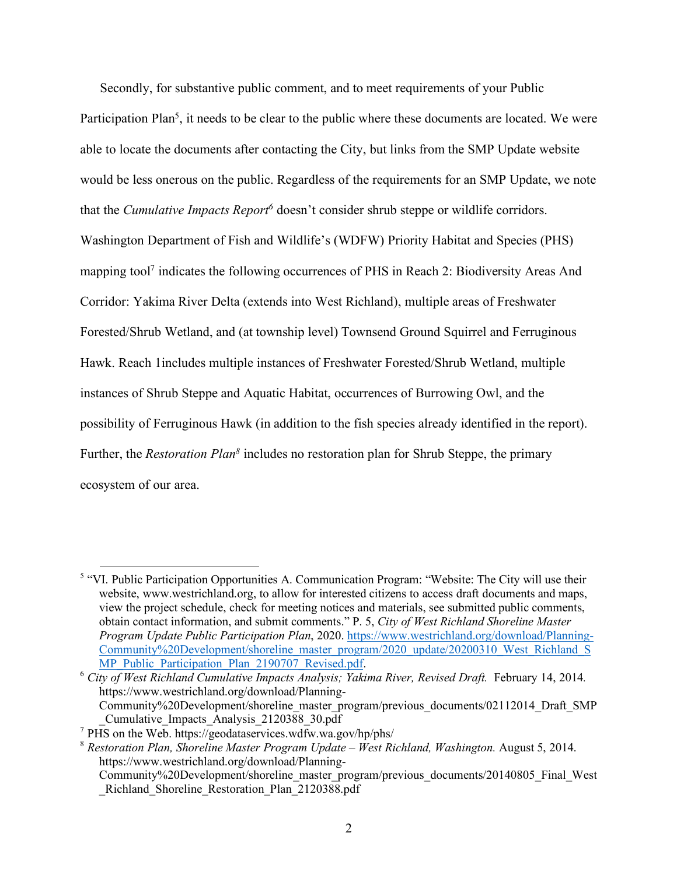Secondly, for substantive public comment, and to meet requirements of your Public Participation Plan<sup>5</sup>, it needs to be clear to the public where these documents are located. We were able to locate the documents after contacting the City, but links from the SMP Update website would be less onerous on the public. Regardless of the requirements for an SMP Update, we note that the *Cumulative Impacts Report6* doesn't consider shrub steppe or wildlife corridors. Washington Department of Fish and Wildlife's (WDFW) Priority Habitat and Species (PHS) mapping tool<sup>7</sup> indicates the following occurrences of PHS in Reach 2: Biodiversity Areas And Corridor: Yakima River Delta (extends into West Richland), multiple areas of Freshwater Forested/Shrub Wetland, and (at township level) Townsend Ground Squirrel and Ferruginous Hawk. Reach 1includes multiple instances of Freshwater Forested/Shrub Wetland, multiple instances of Shrub Steppe and Aquatic Habitat, occurrences of Burrowing Owl, and the possibility of Ferruginous Hawk (in addition to the fish species already identified in the report). Further, the *Restoration Plan8* includes no restoration plan for Shrub Steppe, the primary ecosystem of our area.

<sup>6</sup> *City of West Richland Cumulative Impacts Analysis; Yakima River, Revised Draft.* February 14, 2014*.*  https://www.westrichland.org/download/Planning-Community%20Development/shoreline\_master\_program/previous\_documents/02112014\_Draft\_SMP \_Cumulative\_Impacts\_Analysis\_2120388\_30.pdf

 <sup>5</sup> "VI. Public Participation Opportunities A. Communication Program: "Website: The City will use their website, www.westrichland.org, to allow for interested citizens to access draft documents and maps, view the project schedule, check for meeting notices and materials, see submitted public comments, obtain contact information, and submit comments." P. 5, *City of West Richland Shoreline Master Program Update Public Participation Plan*, 2020. https://www.westrichland.org/download/Planning-Community%20Development/shoreline\_master\_program/2020\_update/20200310\_West\_Richland\_S MP\_Public\_Participation\_Plan\_2190707\_Revised.pdf.

<sup>7</sup> PHS on the Web. https://geodataservices.wdfw.wa.gov/hp/phs/

<sup>8</sup> *Restoration Plan, Shoreline Master Program Update – West Richland, Washington.* August 5, 2014. https://www.westrichland.org/download/Planning-Community%20Development/shoreline\_master\_program/previous\_documents/20140805\_Final\_West \_Richland\_Shoreline\_Restoration\_Plan\_2120388.pdf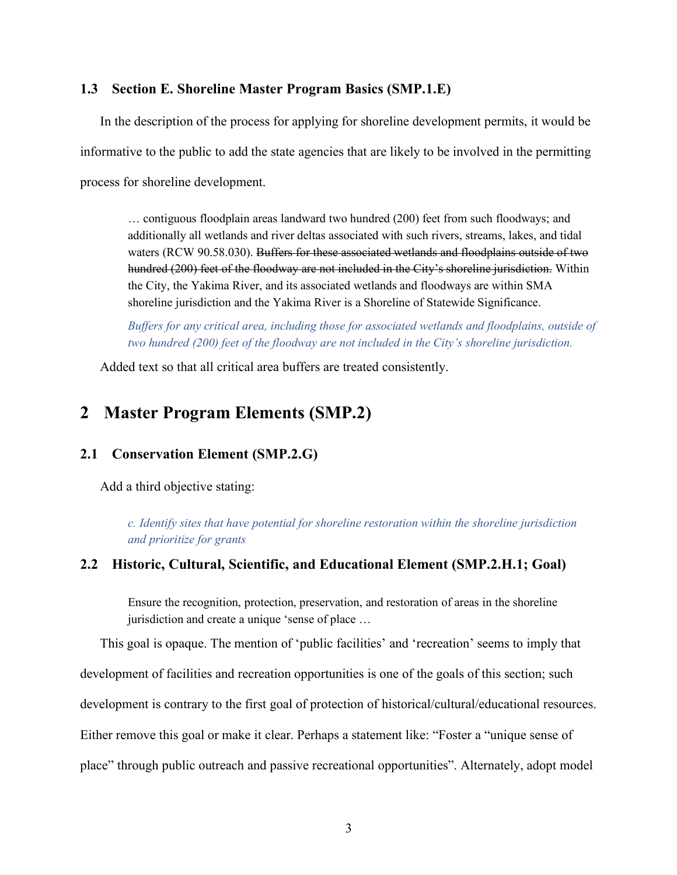#### **1.3 Section E. Shoreline Master Program Basics (SMP.1.E)**

In the description of the process for applying for shoreline development permits, it would be informative to the public to add the state agencies that are likely to be involved in the permitting process for shoreline development.

… contiguous floodplain areas landward two hundred (200) feet from such floodways; and additionally all wetlands and river deltas associated with such rivers, streams, lakes, and tidal waters (RCW 90.58.030). Buffers for these associated wetlands and floodplains outside of two hundred (200) feet of the floodway are not included in the City's shoreline jurisdiction. Within the City, the Yakima River, and its associated wetlands and floodways are within SMA shoreline jurisdiction and the Yakima River is a Shoreline of Statewide Significance.

*Buffers for any critical area, including those for associated wetlands and floodplains, outside of two hundred (200) feet of the floodway are not included in the City's shoreline jurisdiction.* 

Added text so that all critical area buffers are treated consistently.

## **2 Master Program Elements (SMP.2)**

#### **2.1 Conservation Element (SMP.2.G)**

Add a third objective stating:

*c. Identify sites that have potential for shoreline restoration within the shoreline jurisdiction and prioritize for grants*

#### **2.2 Historic, Cultural, Scientific, and Educational Element (SMP.2.H.1; Goal)**

Ensure the recognition, protection, preservation, and restoration of areas in the shoreline jurisdiction and create a unique 'sense of place …

This goal is opaque. The mention of 'public facilities' and 'recreation' seems to imply that

development of facilities and recreation opportunities is one of the goals of this section; such

development is contrary to the first goal of protection of historical/cultural/educational resources.

Either remove this goal or make it clear. Perhaps a statement like: "Foster a "unique sense of

place" through public outreach and passive recreational opportunities". Alternately, adopt model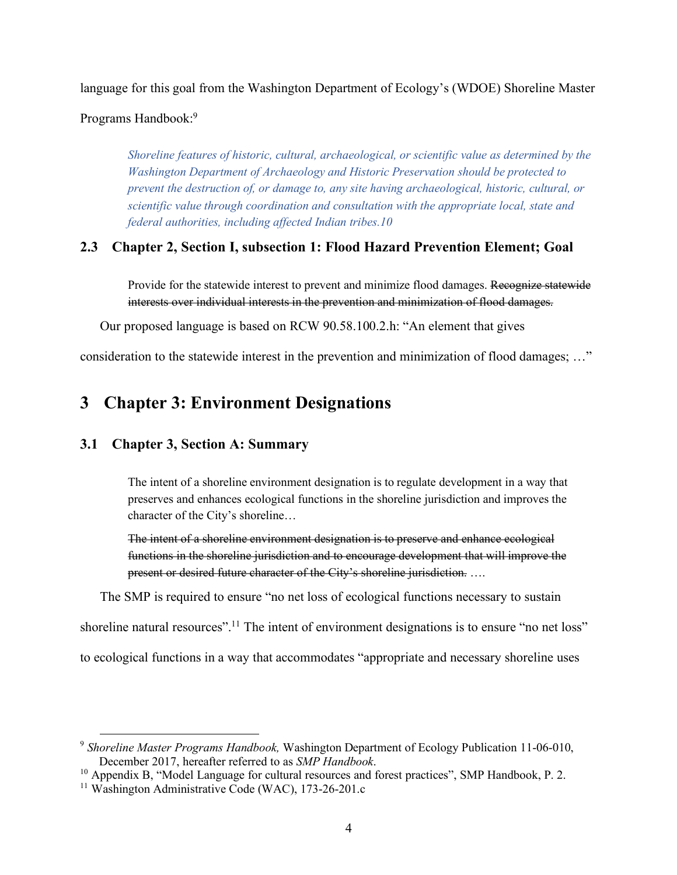language for this goal from the Washington Department of Ecology's (WDOE) Shoreline Master

Programs Handbook: 9

*Shoreline features of historic, cultural, archaeological, or scientific value as determined by the Washington Department of Archaeology and Historic Preservation should be protected to prevent the destruction of, or damage to, any site having archaeological, historic, cultural, or scientific value through coordination and consultation with the appropriate local, state and federal authorities, including affected Indian tribes.10*

### **2.3 Chapter 2, Section I, subsection 1: Flood Hazard Prevention Element; Goal**

Provide for the statewide interest to prevent and minimize flood damages. Recognize statewide interests over individual interests in the prevention and minimization of flood damages.

Our proposed language is based on RCW 90.58.100.2.h: "An element that gives

consideration to the statewide interest in the prevention and minimization of flood damages; ..."

## **3 Chapter 3: Environment Designations**

#### **3.1 Chapter 3, Section A: Summary**

The intent of a shoreline environment designation is to regulate development in a way that preserves and enhances ecological functions in the shoreline jurisdiction and improves the character of the City's shoreline…

The intent of a shoreline environment designation is to preserve and enhance ecological functions in the shoreline jurisdiction and to encourage development that will improve the present or desired future character of the City's shoreline jurisdiction. ….

The SMP is required to ensure "no net loss of ecological functions necessary to sustain

shoreline natural resources".<sup>11</sup> The intent of environment designations is to ensure "no net loss"

to ecological functions in a way that accommodates "appropriate and necessary shoreline uses

 <sup>9</sup> *Shoreline Master Programs Handbook,* Washington Department of Ecology Publication 11-06-010, December 2017, hereafter referred to as *SMP Handbook*.

<sup>&</sup>lt;sup>10</sup> Appendix B, "Model Language for cultural resources and forest practices", SMP Handbook, P. 2.

<sup>&</sup>lt;sup>11</sup> Washington Administrative Code (WAC), 173-26-201.c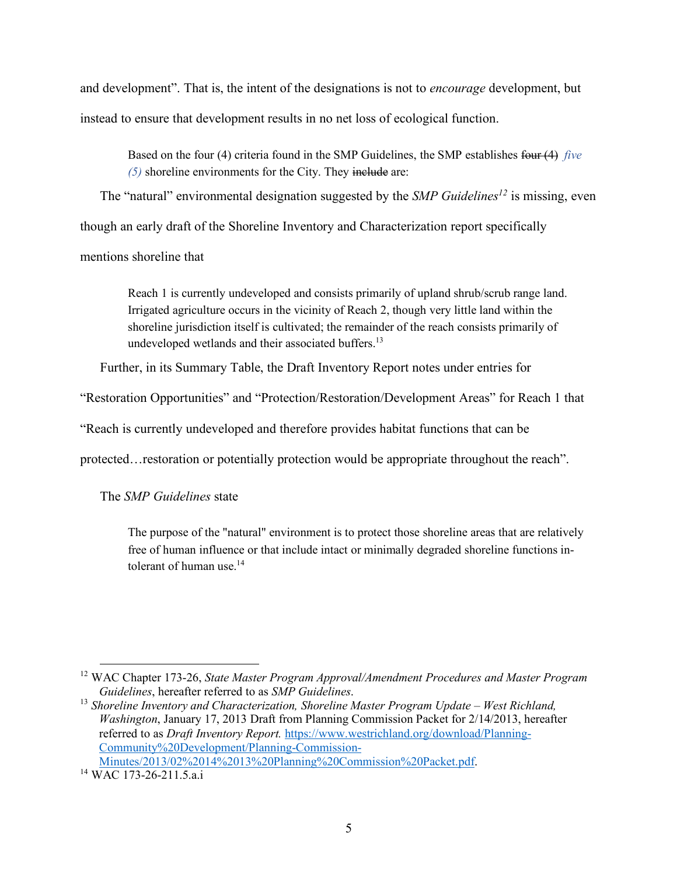and development". That is, the intent of the designations is not to *encourage* development, but instead to ensure that development results in no net loss of ecological function.

Based on the four (4) criteria found in the SMP Guidelines, the SMP establishes four (4) *five (5)* shoreline environments for the City. They include are:

The "natural" environmental designation suggested by the *SMP Guidelines<sup>12</sup>* is missing, even though an early draft of the Shoreline Inventory and Characterization report specifically

mentions shoreline that

Reach 1 is currently undeveloped and consists primarily of upland shrub/scrub range land. Irrigated agriculture occurs in the vicinity of Reach 2, though very little land within the shoreline jurisdiction itself is cultivated; the remainder of the reach consists primarily of undeveloped wetlands and their associated buffers.<sup>13</sup>

Further, in its Summary Table, the Draft Inventory Report notes under entries for

"Restoration Opportunities" and "Protection/Restoration/Development Areas" for Reach 1 that

"Reach is currently undeveloped and therefore provides habitat functions that can be

protected…restoration or potentially protection would be appropriate throughout the reach".

The *SMP Guidelines* state

The purpose of the "natural" environment is to protect those shoreline areas that are relatively free of human influence or that include intact or minimally degraded shoreline functions intolerant of human use  $14$ 

 <sup>12</sup> WAC Chapter 173-26, *State Master Program Approval/Amendment Procedures and Master Program Guidelines*, hereafter referred to as *SMP Guidelines*.

<sup>13</sup> *Shoreline Inventory and Characterization, Shoreline Master Program Update – West Richland, Washington*, January 17, 2013 Draft from Planning Commission Packet for 2/14/2013, hereafter referred to as *Draft Inventory Report.* https://www.westrichland.org/download/Planning-Community%20Development/Planning-Commission-Minutes/2013/02%2014%2013%20Planning%20Commission%20Packet.pdf.

<sup>&</sup>lt;sup>14</sup> WAC 173-26-211.5.a.i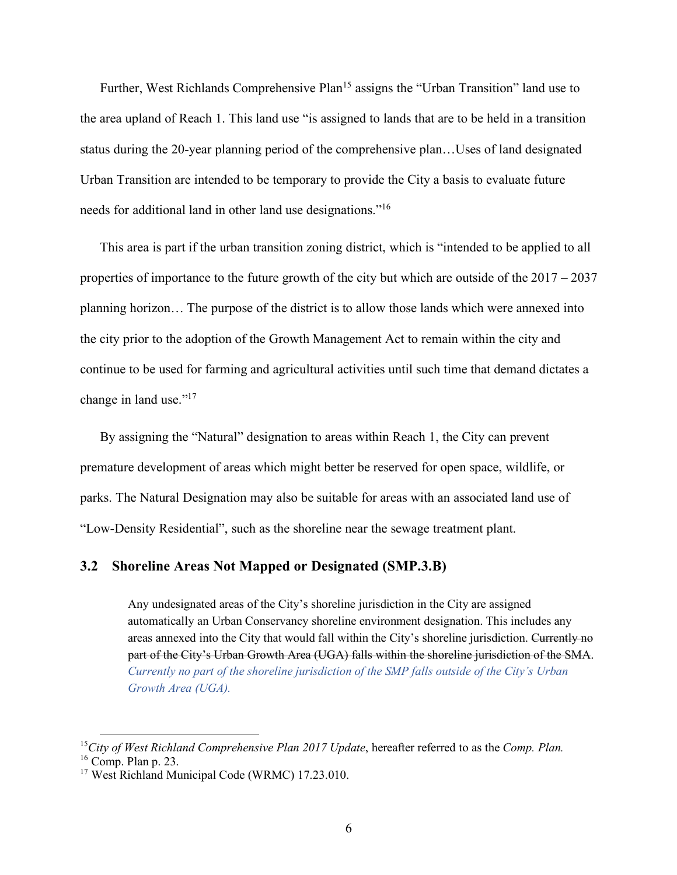Further, West Richlands Comprehensive Plan<sup>15</sup> assigns the "Urban Transition" land use to the area upland of Reach 1. This land use "is assigned to lands that are to be held in a transition status during the 20-year planning period of the comprehensive plan…Uses of land designated Urban Transition are intended to be temporary to provide the City a basis to evaluate future needs for additional land in other land use designations."16

This area is part if the urban transition zoning district, which is "intended to be applied to all properties of importance to the future growth of the city but which are outside of the 2017 – 2037 planning horizon… The purpose of the district is to allow those lands which were annexed into the city prior to the adoption of the Growth Management Act to remain within the city and continue to be used for farming and agricultural activities until such time that demand dictates a change in land use."17

By assigning the "Natural" designation to areas within Reach 1, the City can prevent premature development of areas which might better be reserved for open space, wildlife, or parks. The Natural Designation may also be suitable for areas with an associated land use of "Low-Density Residential", such as the shoreline near the sewage treatment plant.

#### **3.2 Shoreline Areas Not Mapped or Designated (SMP.3.B)**

Any undesignated areas of the City's shoreline jurisdiction in the City are assigned automatically an Urban Conservancy shoreline environment designation. This includes any areas annexed into the City that would fall within the City's shoreline jurisdiction. Currently no part of the City's Urban Growth Area (UGA) falls within the shoreline jurisdiction of the SMA. *Currently no part of the shoreline jurisdiction of the SMP falls outside of the City's Urban Growth Area (UGA).*

 <sup>15</sup>*City of West Richland Comprehensive Plan 2017 Update*, hereafter referred to as the *Comp. Plan.*

 $16$  Comp. Plan p. 23.

<sup>&</sup>lt;sup>17</sup> West Richland Municipal Code (WRMC) 17.23.010.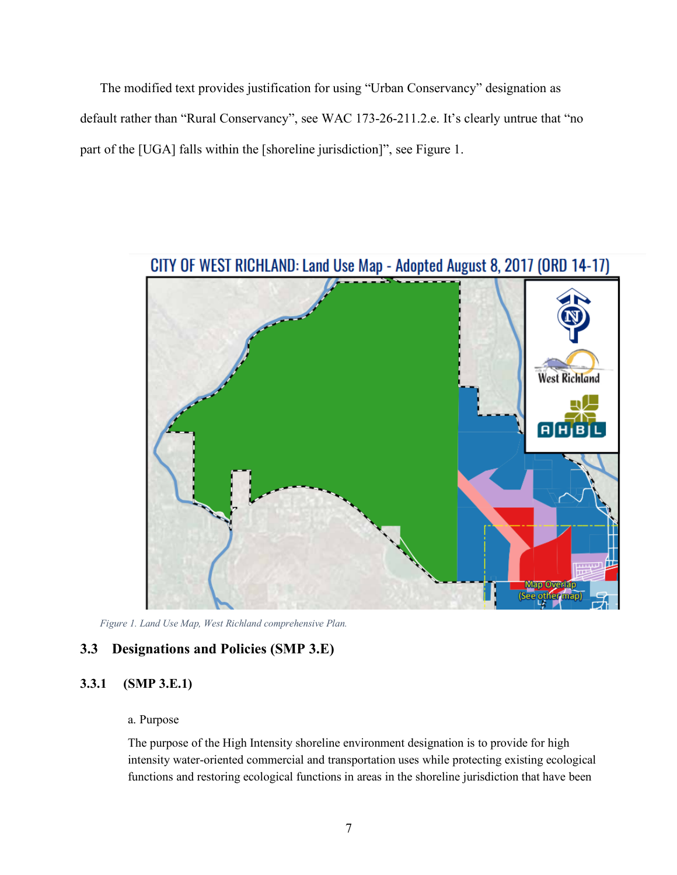The modified text provides justification for using "Urban Conservancy" designation as default rather than "Rural Conservancy", see WAC 173-26-211.2.e. It's clearly untrue that "no part of the [UGA] falls within the [shoreline jurisdiction]", see Figure 1.



*Figure 1. Land Use Map, West Richland comprehensive Plan.*

#### **3.3 Designations and Policies (SMP 3.E)**

#### **3.3.1 (SMP 3.E.1)**

#### a. Purpose

The purpose of the High Intensity shoreline environment designation is to provide for high intensity water-oriented commercial and transportation uses while protecting existing ecological functions and restoring ecological functions in areas in the shoreline jurisdiction that have been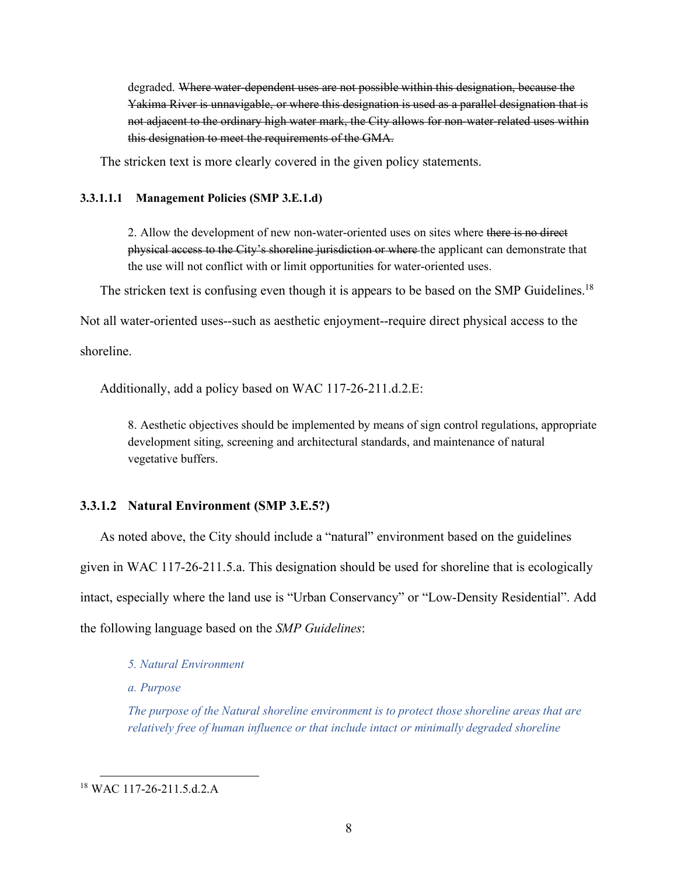degraded. Where water-dependent uses are not possible within this designation, because the Yakima River is unnavigable, or where this designation is used as a parallel designation that is not adjacent to the ordinary high water mark, the City allows for non-water-related uses within this designation to meet the requirements of the GMA.

The stricken text is more clearly covered in the given policy statements.

#### **3.3.1.1.1 Management Policies (SMP 3.E.1.d)**

2. Allow the development of new non-water-oriented uses on sites where there is no direct physical access to the City's shoreline jurisdiction or where the applicant can demonstrate that the use will not conflict with or limit opportunities for water-oriented uses.

The stricken text is confusing even though it is appears to be based on the SMP Guidelines.<sup>18</sup>

Not all water-oriented uses--such as aesthetic enjoyment--require direct physical access to the

shoreline.

Additionally, add a policy based on WAC 117-26-211.d.2.E:

8. Aesthetic objectives should be implemented by means of sign control regulations, appropriate development siting, screening and architectural standards, and maintenance of natural vegetative buffers.

#### **3.3.1.2 Natural Environment (SMP 3.E.5?)**

As noted above, the City should include a "natural" environment based on the guidelines given in WAC 117-26-211.5.a. This designation should be used for shoreline that is ecologically intact, especially where the land use is "Urban Conservancy" or "Low-Density Residential". Add the following language based on the *SMP Guidelines*:

- *5. Natural Environment*
- *a. Purpose*

*The purpose of the Natural shoreline environment is to protect those shoreline areas that are relatively free of human influence or that include intact or minimally degraded shoreline* 

 <sup>18</sup> WAC 117-26-211.5.d.2.A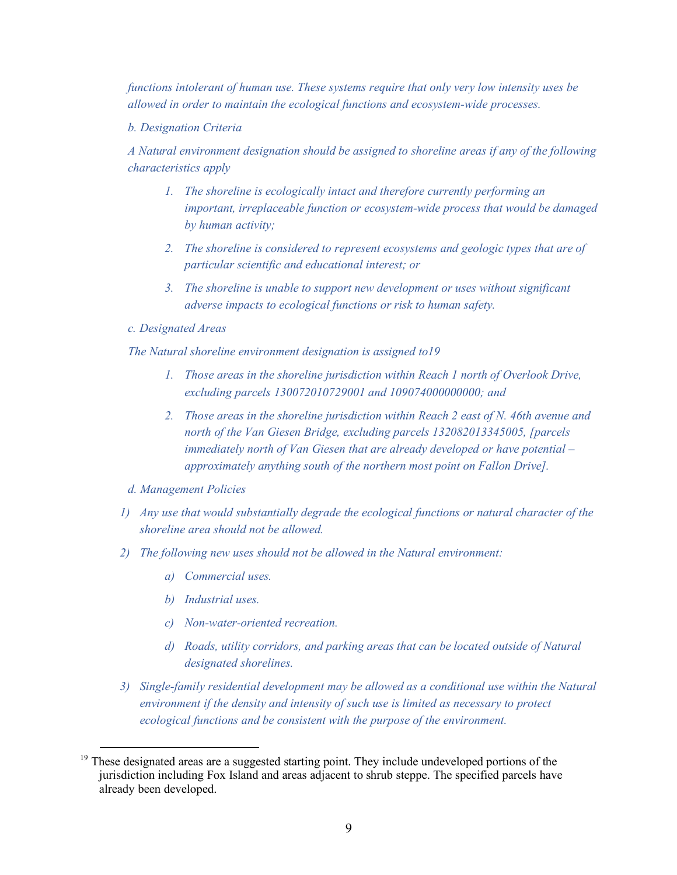*functions intolerant of human use. These systems require that only very low intensity uses be allowed in order to maintain the ecological functions and ecosystem-wide processes.* 

#### *b. Designation Criteria*

*A Natural environment designation should be assigned to shoreline areas if any of the following characteristics apply*

- *1. The shoreline is ecologically intact and therefore currently performing an important, irreplaceable function or ecosystem-wide process that would be damaged by human activity;*
- *2. The shoreline is considered to represent ecosystems and geologic types that are of particular scientific and educational interest; or*
- *3. The shoreline is unable to support new development or uses without significant adverse impacts to ecological functions or risk to human safety.*

#### *c. Designated Areas*

*The Natural shoreline environment designation is assigned to19*

- *1. Those areas in the shoreline jurisdiction within Reach 1 north of Overlook Drive, excluding parcels 130072010729001 and 109074000000000; and*
- *2. Those areas in the shoreline jurisdiction within Reach 2 east of N. 46th avenue and north of the Van Giesen Bridge, excluding parcels 132082013345005, [parcels immediately north of Van Giesen that are already developed or have potential – approximately anything south of the northern most point on Fallon Drive].*

#### *d. Management Policies*

- *1) Any use that would substantially degrade the ecological functions or natural character of the shoreline area should not be allowed.*
- *2) The following new uses should not be allowed in the Natural environment:*
	- *a) Commercial uses.*
	- *b) Industrial uses.*
	- *c) Non-water-oriented recreation.*
	- *d) Roads, utility corridors, and parking areas that can be located outside of Natural designated shorelines.*
- *3) Single-family residential development may be allowed as a conditional use within the Natural environment if the density and intensity of such use is limited as necessary to protect ecological functions and be consistent with the purpose of the environment.*

 $19$  These designated areas are a suggested starting point. They include undeveloped portions of the jurisdiction including Fox Island and areas adjacent to shrub steppe. The specified parcels have already been developed.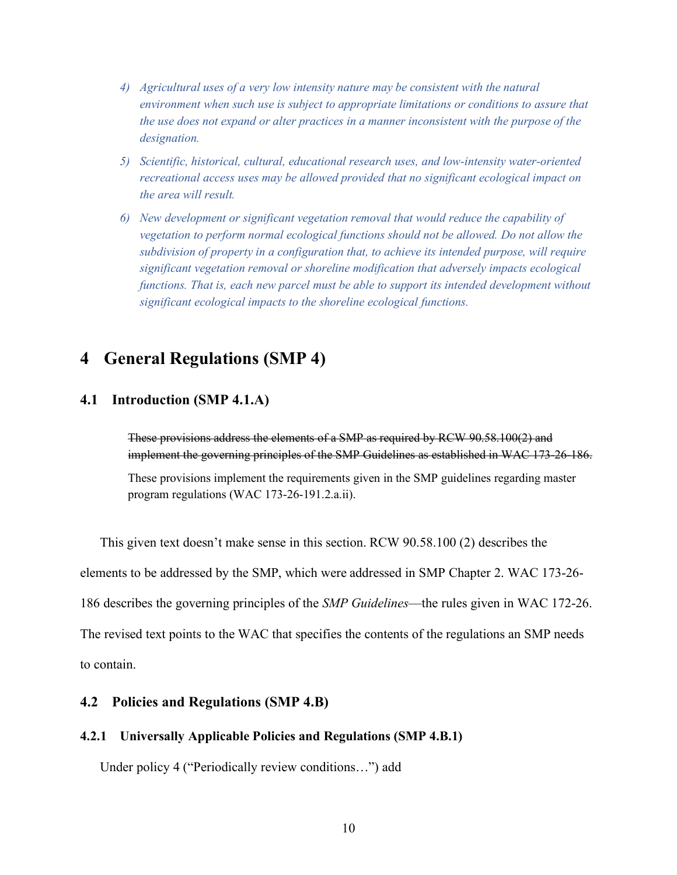- *4) Agricultural uses of a very low intensity nature may be consistent with the natural environment when such use is subject to appropriate limitations or conditions to assure that the use does not expand or alter practices in a manner inconsistent with the purpose of the designation.*
- *5) Scientific, historical, cultural, educational research uses, and low-intensity water-oriented recreational access uses may be allowed provided that no significant ecological impact on the area will result.*
- *6) New development or significant vegetation removal that would reduce the capability of vegetation to perform normal ecological functions should not be allowed. Do not allow the subdivision of property in a configuration that, to achieve its intended purpose, will require significant vegetation removal or shoreline modification that adversely impacts ecological functions. That is, each new parcel must be able to support its intended development without significant ecological impacts to the shoreline ecological functions.*

## **4 General Regulations (SMP 4)**

#### **4.1 Introduction (SMP 4.1.A)**

These provisions address the elements of a SMP as required by RCW 90.58.100(2) and implement the governing principles of the SMP Guidelines as established in WAC 173-26-186.

These provisions implement the requirements given in the SMP guidelines regarding master program regulations (WAC 173-26-191.2.a.ii).

This given text doesn't make sense in this section. RCW 90.58.100 (2) describes the elements to be addressed by the SMP, which were addressed in SMP Chapter 2. WAC 173-26- 186 describes the governing principles of the *SMP Guidelines*—the rules given in WAC 172-26. The revised text points to the WAC that specifies the contents of the regulations an SMP needs to contain.

#### **4.2 Policies and Regulations (SMP 4.B)**

#### **4.2.1 Universally Applicable Policies and Regulations (SMP 4.B.1)**

Under policy 4 ("Periodically review conditions…") add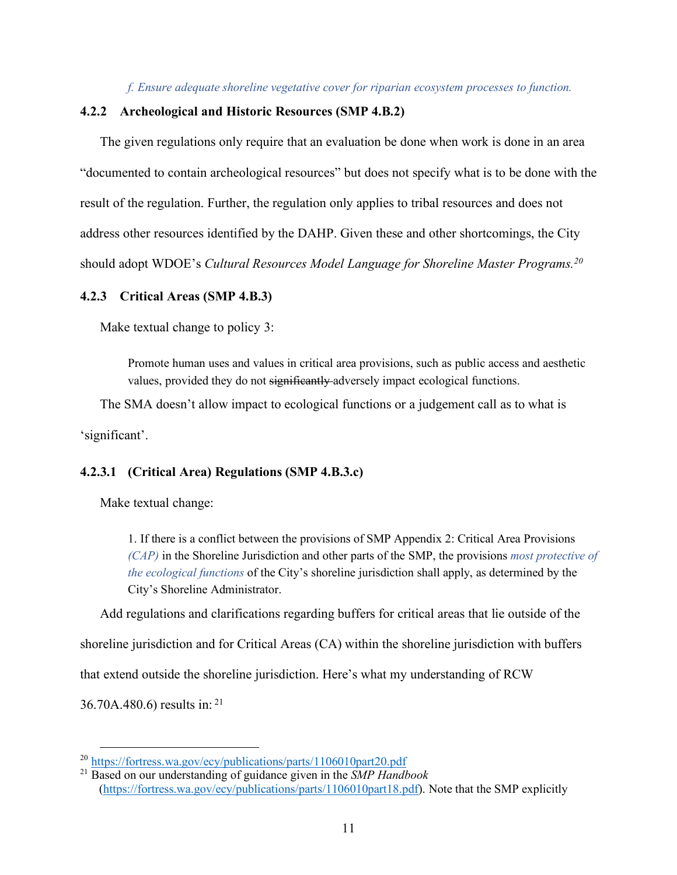#### *f. Ensure adequate shoreline vegetative cover for riparian ecosystem processes to function.*

#### **4.2.2 Archeological and Historic Resources (SMP 4.B.2)**

The given regulations only require that an evaluation be done when work is done in an area "documented to contain archeological resources" but does not specify what is to be done with the result of the regulation. Further, the regulation only applies to tribal resources and does not address other resources identified by the DAHP. Given these and other shortcomings, the City should adopt WDOE's *Cultural Resources Model Language for Shoreline Master Programs. 20*

#### **4.2.3 Critical Areas (SMP 4.B.3)**

Make textual change to policy 3:

Promote human uses and values in critical area provisions, such as public access and aesthetic values, provided they do not significantly adversely impact ecological functions.

The SMA doesn't allow impact to ecological functions or a judgement call as to what is

'significant'.

#### **4.2.3.1 (Critical Area) Regulations (SMP 4.B.3.c)**

Make textual change:

1. If there is a conflict between the provisions of SMP Appendix 2: Critical Area Provisions *(CAP)* in the Shoreline Jurisdiction and other parts of the SMP, the provisions *most protective of the ecological functions* of the City's shoreline jurisdiction shall apply, as determined by the City's Shoreline Administrator.

Add regulations and clarifications regarding buffers for critical areas that lie outside of the

shoreline jurisdiction and for Critical Areas (CA) within the shoreline jurisdiction with buffers

that extend outside the shoreline jurisdiction. Here's what my understanding of RCW

36.70A.480.6) results in: <sup>21</sup>

<sup>&</sup>lt;sup>20</sup> https://fortress.wa.gov/ecy/publications/parts/1106010part20.pdf

<sup>21</sup> Based on our understanding of guidance given in the *SMP Handbook* (https://fortress.wa.gov/ecy/publications/parts/1106010part18.pdf). Note that the SMP explicitly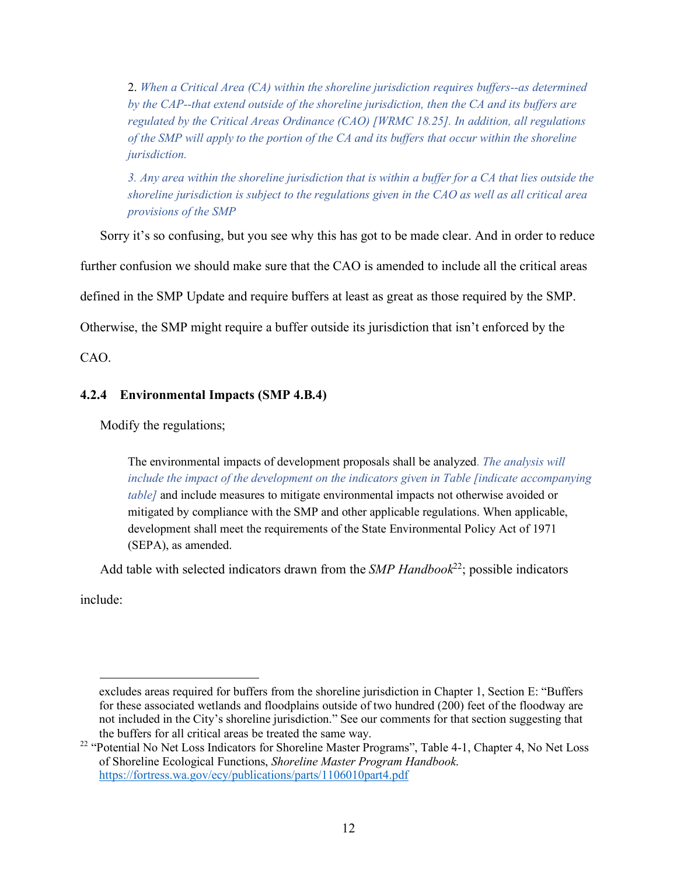2. *When a Critical Area (CA) within the shoreline jurisdiction requires buffers--as determined by the CAP--that extend outside of the shoreline jurisdiction, then the CA and its buffers are regulated by the Critical Areas Ordinance (CAO) [WRMC 18.25]. In addition, all regulations of the SMP will apply to the portion of the CA and its buffers that occur within the shoreline jurisdiction.*

*3. Any area within the shoreline jurisdiction that is within a buffer for a CA that lies outside the shoreline jurisdiction is subject to the regulations given in the CAO as well as all critical area provisions of the SMP*

Sorry it's so confusing, but you see why this has got to be made clear. And in order to reduce

further confusion we should make sure that the CAO is amended to include all the critical areas

defined in the SMP Update and require buffers at least as great as those required by the SMP.

Otherwise, the SMP might require a buffer outside its jurisdiction that isn't enforced by the

CAO.

#### **4.2.4 Environmental Impacts (SMP 4.B.4)**

Modify the regulations;

The environmental impacts of development proposals shall be analyzed. *The analysis will include the impact of the development on the indicators given in Table [indicate accompanying table]* and include measures to mitigate environmental impacts not otherwise avoided or mitigated by compliance with the SMP and other applicable regulations. When applicable, development shall meet the requirements of the State Environmental Policy Act of 1971 (SEPA), as amended.

Add table with selected indicators drawn from the *SMP Handbook*<sup>22</sup>; possible indicators

include:

 $\overline{a}$ excludes areas required for buffers from the shoreline jurisdiction in Chapter 1, Section E: "Buffers for these associated wetlands and floodplains outside of two hundred (200) feet of the floodway are not included in the City's shoreline jurisdiction." See our comments for that section suggesting that the buffers for all critical areas be treated the same way.

<sup>&</sup>lt;sup>22</sup> "Potential No Net Loss Indicators for Shoreline Master Programs", Table 4-1, Chapter 4, No Net Loss of Shoreline Ecological Functions, *Shoreline Master Program Handbook*. https://fortress.wa.gov/ecy/publications/parts/1106010part4.pdf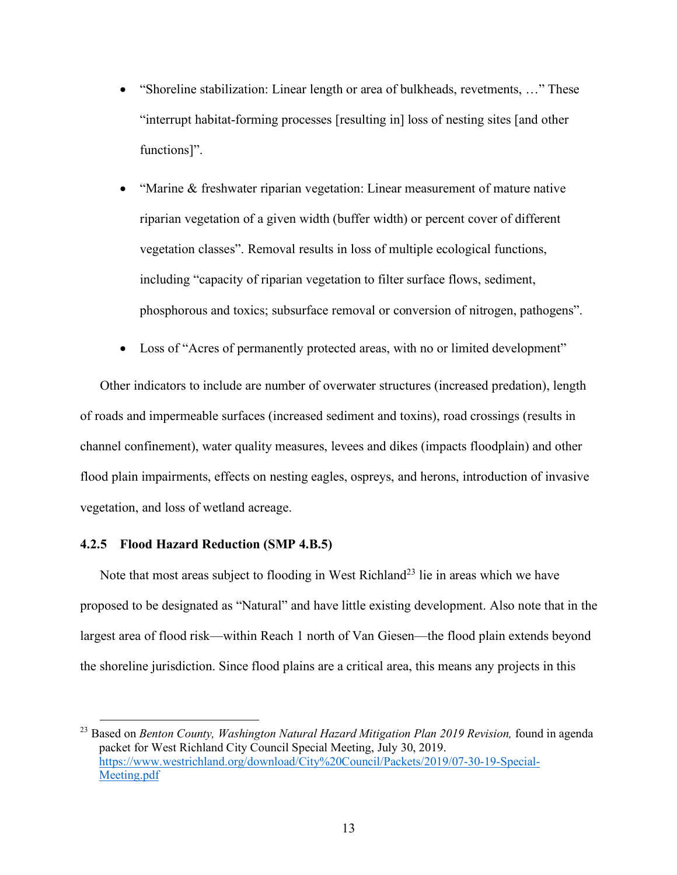- "Shoreline stabilization: Linear length or area of bulkheads, reversiments, ..." These "interrupt habitat-forming processes [resulting in] loss of nesting sites [and other functions]".
- "Marine & freshwater riparian vegetation: Linear measurement of mature native riparian vegetation of a given width (buffer width) or percent cover of different vegetation classes". Removal results in loss of multiple ecological functions, including "capacity of riparian vegetation to filter surface flows, sediment, phosphorous and toxics; subsurface removal or conversion of nitrogen, pathogens".
- Loss of "Acres of permanently protected areas, with no or limited development"

Other indicators to include are number of overwater structures (increased predation), length of roads and impermeable surfaces (increased sediment and toxins), road crossings (results in channel confinement), water quality measures, levees and dikes (impacts floodplain) and other flood plain impairments, effects on nesting eagles, ospreys, and herons, introduction of invasive vegetation, and loss of wetland acreage.

#### **4.2.5 Flood Hazard Reduction (SMP 4.B.5)**

Note that most areas subject to flooding in West Richland<sup>23</sup> lie in areas which we have proposed to be designated as "Natural" and have little existing development. Also note that in the largest area of flood risk—within Reach 1 north of Van Giesen—the flood plain extends beyond the shoreline jurisdiction. Since flood plains are a critical area, this means any projects in this

 <sup>23</sup> Based on *Benton County, Washington Natural Hazard Mitigation Plan 2019 Revision,* found in agenda packet for West Richland City Council Special Meeting, July 30, 2019. https://www.westrichland.org/download/City%20Council/Packets/2019/07-30-19-Special-Meeting.pdf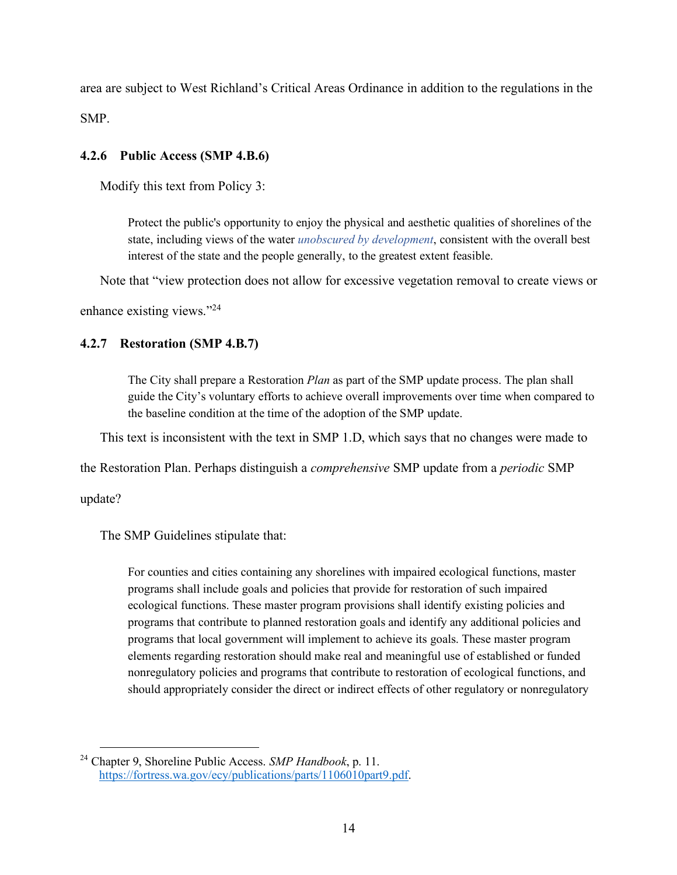area are subject to West Richland's Critical Areas Ordinance in addition to the regulations in the SMP.

#### **4.2.6 Public Access (SMP 4.B.6)**

Modify this text from Policy 3:

Protect the public's opportunity to enjoy the physical and aesthetic qualities of shorelines of the state, including views of the water *unobscured by development*, consistent with the overall best interest of the state and the people generally, to the greatest extent feasible.

Note that "view protection does not allow for excessive vegetation removal to create views or

enhance existing views."24

#### **4.2.7 Restoration (SMP 4.B.7)**

The City shall prepare a Restoration *Plan* as part of the SMP update process. The plan shall guide the City's voluntary efforts to achieve overall improvements over time when compared to the baseline condition at the time of the adoption of the SMP update.

This text is inconsistent with the text in SMP 1.D, which says that no changes were made to

the Restoration Plan. Perhaps distinguish a *comprehensive* SMP update from a *periodic* SMP

update?

The SMP Guidelines stipulate that:

For counties and cities containing any shorelines with impaired ecological functions, master programs shall include goals and policies that provide for restoration of such impaired ecological functions. These master program provisions shall identify existing policies and programs that contribute to planned restoration goals and identify any additional policies and programs that local government will implement to achieve its goals. These master program elements regarding restoration should make real and meaningful use of established or funded nonregulatory policies and programs that contribute to restoration of ecological functions, and should appropriately consider the direct or indirect effects of other regulatory or nonregulatory

 <sup>24</sup> Chapter 9, Shoreline Public Access. *SMP Handbook*, p. 11. https://fortress.wa.gov/ecy/publications/parts/1106010part9.pdf.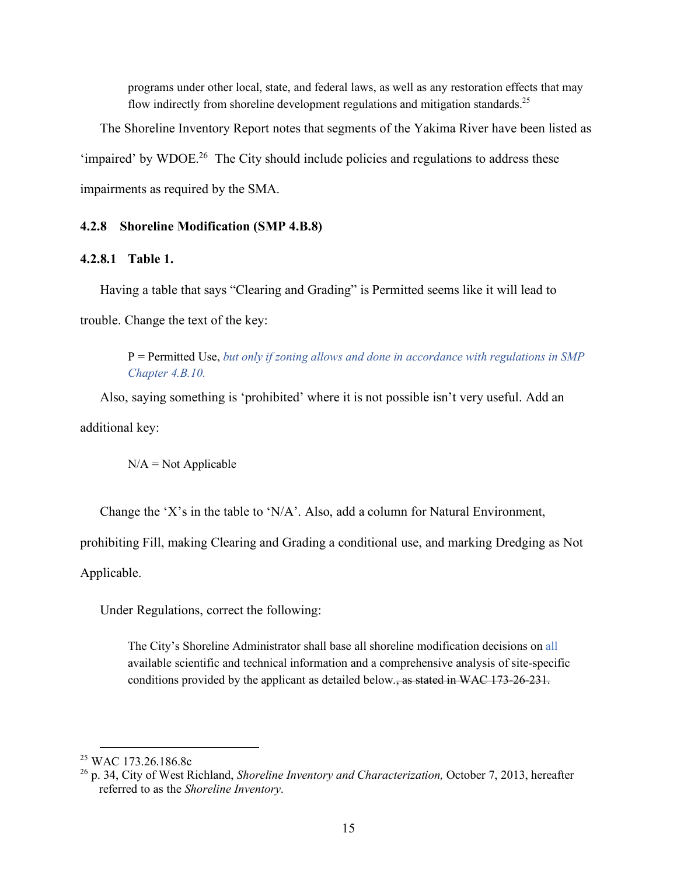programs under other local, state, and federal laws, as well as any restoration effects that may flow indirectly from shoreline development regulations and mitigation standards.25

The Shoreline Inventory Report notes that segments of the Yakima River have been listed as

'impaired' by WDOE.<sup>26</sup> The City should include policies and regulations to address these

impairments as required by the SMA.

#### **4.2.8 Shoreline Modification (SMP 4.B.8)**

#### **4.2.8.1 Table 1.**

Having a table that says "Clearing and Grading" is Permitted seems like it will lead to trouble. Change the text of the key:

P = Permitted Use, *but only if zoning allows and done in accordance with regulations in SMP Chapter 4.B.10.*

Also, saying something is 'prohibited' where it is not possible isn't very useful. Add an additional key:

 $N/A = Not Applicable$ 

Change the 'X's in the table to 'N/A'. Also, add a column for Natural Environment,

prohibiting Fill, making Clearing and Grading a conditional use, and marking Dredging as Not

Applicable.

Under Regulations, correct the following:

The City's Shoreline Administrator shall base all shoreline modification decisions on all available scientific and technical information and a comprehensive analysis of site-specific conditions provided by the applicant as detailed below. $\frac{1}{2}$  as stated in WAC 173-26-231.

<sup>&</sup>lt;sup>25</sup> WAC 173.26.186.8c

<sup>26</sup> p. 34, City of West Richland, *Shoreline Inventory and Characterization,* October 7, 2013, hereafter referred to as the *Shoreline Inventory*.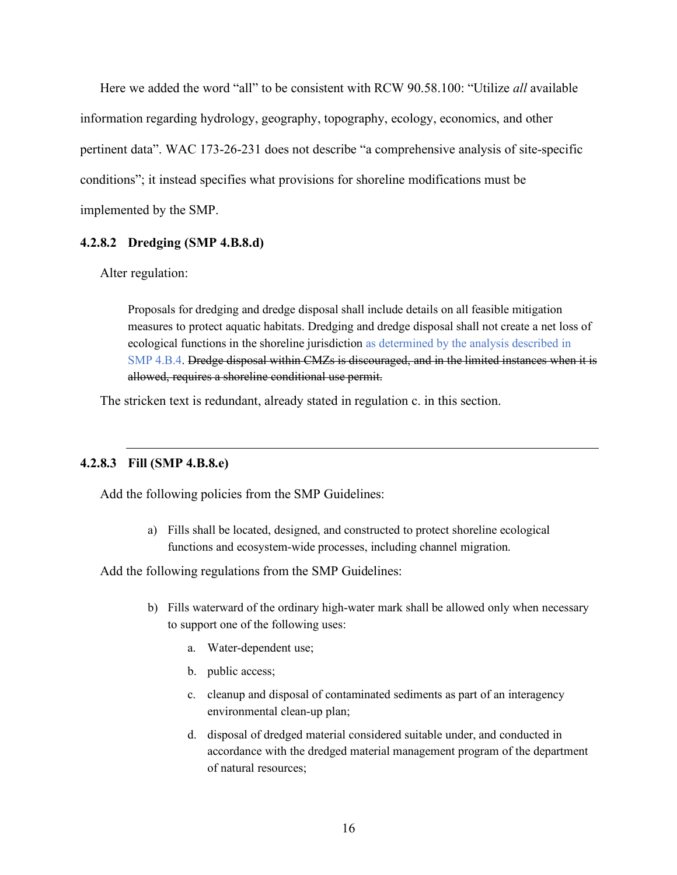Here we added the word "all" to be consistent with RCW 90.58.100: "Utilize *all* available information regarding hydrology, geography, topography, ecology, economics, and other pertinent data". WAC 173-26-231 does not describe "a comprehensive analysis of site-specific conditions"; it instead specifies what provisions for shoreline modifications must be implemented by the SMP.

#### **4.2.8.2 Dredging (SMP 4.B.8.d)**

Alter regulation:

Proposals for dredging and dredge disposal shall include details on all feasible mitigation measures to protect aquatic habitats. Dredging and dredge disposal shall not create a net loss of ecological functions in the shoreline jurisdiction as determined by the analysis described in SMP 4.B.4. Dredge disposal within CMZs is discouraged, and in the limited instances when it is allowed, requires a shoreline conditional use permit.

The stricken text is redundant, already stated in regulation c. in this section.

#### **4.2.8.3 Fill (SMP 4.B.8.e)**

Add the following policies from the SMP Guidelines:

a) Fills shall be located, designed, and constructed to protect shoreline ecological functions and ecosystem-wide processes, including channel migration.

Add the following regulations from the SMP Guidelines:

- b) Fills waterward of the ordinary high-water mark shall be allowed only when necessary to support one of the following uses:
	- a. Water-dependent use;
	- b. public access;
	- c. cleanup and disposal of contaminated sediments as part of an interagency environmental clean-up plan;
	- d. disposal of dredged material considered suitable under, and conducted in accordance with the dredged material management program of the department of natural resources;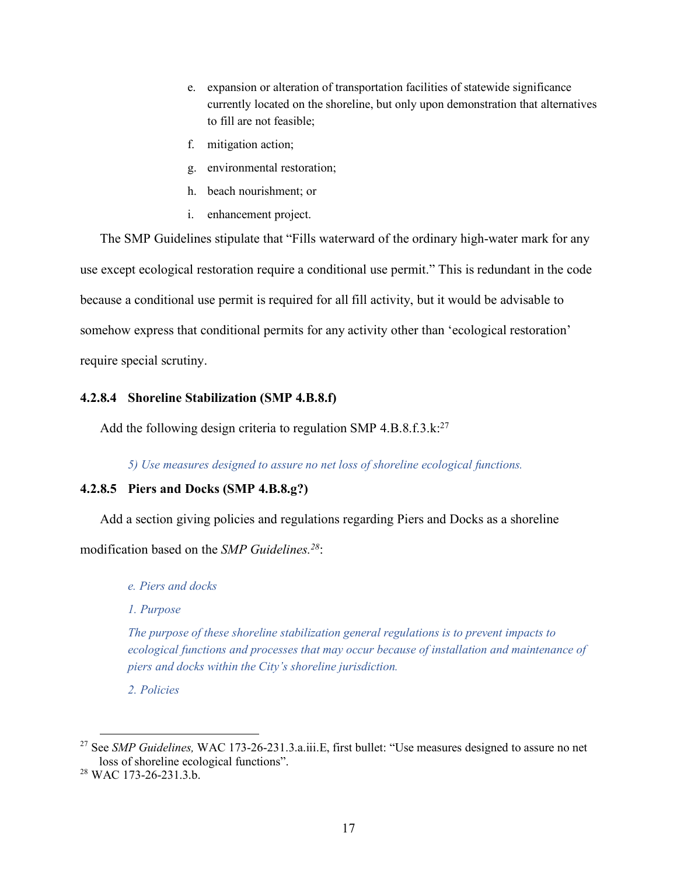- e. expansion or alteration of transportation facilities of statewide significance currently located on the shoreline, but only upon demonstration that alternatives to fill are not feasible;
- f. mitigation action;
- g. environmental restoration;
- h. beach nourishment; or
- i. enhancement project.

The SMP Guidelines stipulate that "Fills waterward of the ordinary high-water mark for any use except ecological restoration require a conditional use permit." This is redundant in the code because a conditional use permit is required for all fill activity, but it would be advisable to somehow express that conditional permits for any activity other than 'ecological restoration' require special scrutiny.

#### **4.2.8.4 Shoreline Stabilization (SMP 4.B.8.f)**

Add the following design criteria to regulation SMP  $4.B.8.f.3.k:^{27}$ 

#### *5) Use measures designed to assure no net loss of shoreline ecological functions.*

#### **4.2.8.5 Piers and Docks (SMP 4.B.8.g?)**

Add a section giving policies and regulations regarding Piers and Docks as a shoreline

modification based on the *SMP Guidelines. 28*:

*e. Piers and docks*

*1. Purpose*

*The purpose of these shoreline stabilization general regulations is to prevent impacts to ecological functions and processes that may occur because of installation and maintenance of piers and docks within the City's shoreline jurisdiction.* 

*2. Policies*

 <sup>27</sup> See *SMP Guidelines,* WAC 173-26-231.3.a.iii.E, first bullet: "Use measures designed to assure no net loss of shoreline ecological functions".

<sup>28</sup> WAC 173-26-231.3.b.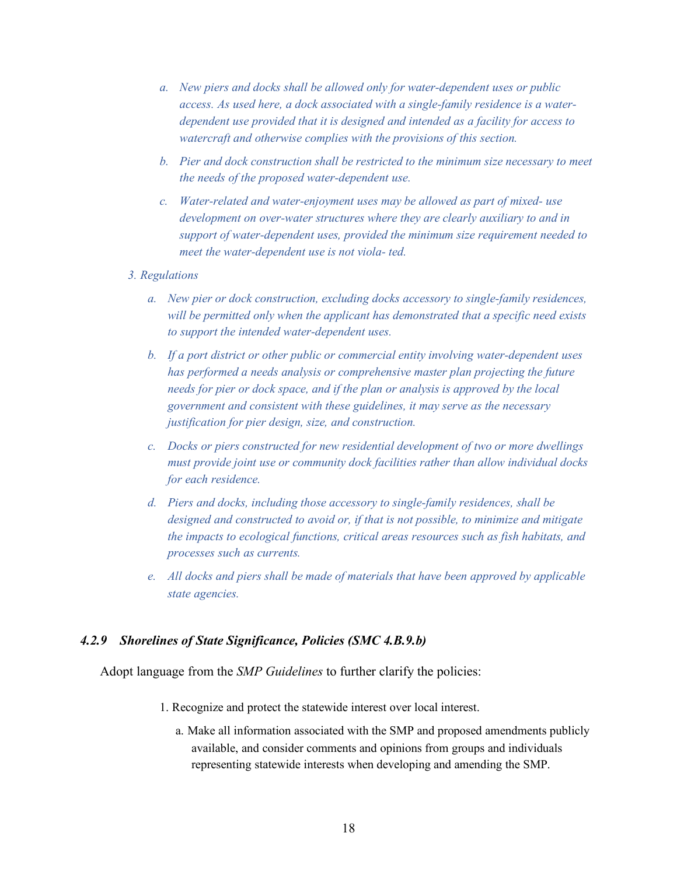- *a. New piers and docks shall be allowed only for water-dependent uses or public access. As used here, a dock associated with a single-family residence is a waterdependent use provided that it is designed and intended as a facility for access to watercraft and otherwise complies with the provisions of this section.*
- *b. Pier and dock construction shall be restricted to the minimum size necessary to meet the needs of the proposed water-dependent use.*
- *c. Water-related and water-enjoyment uses may be allowed as part of mixed- use development on over-water structures where they are clearly auxiliary to and in support of water-dependent uses, provided the minimum size requirement needed to meet the water-dependent use is not viola- ted.*
- *3. Regulations*
	- *a. New pier or dock construction, excluding docks accessory to single-family residences, will be permitted only when the applicant has demonstrated that a specific need exists to support the intended water-dependent uses.*
	- *b. If a port district or other public or commercial entity involving water-dependent uses has performed a needs analysis or comprehensive master plan projecting the future needs for pier or dock space, and if the plan or analysis is approved by the local government and consistent with these guidelines, it may serve as the necessary justification for pier design, size, and construction.*
	- *c. Docks or piers constructed for new residential development of two or more dwellings must provide joint use or community dock facilities rather than allow individual docks for each residence.*
	- *d. Piers and docks, including those accessory to single-family residences, shall be designed and constructed to avoid or, if that is not possible, to minimize and mitigate the impacts to ecological functions, critical areas resources such as fish habitats, and processes such as currents.*
	- *e. All docks and piers shall be made of materials that have been approved by applicable state agencies.*

#### *4.2.9 Shorelines of State Significance, Policies (SMC 4.B.9.b)*

Adopt language from the *SMP Guidelines* to further clarify the policies:

- 1. Recognize and protect the statewide interest over local interest.
	- a. Make all information associated with the SMP and proposed amendments publicly available, and consider comments and opinions from groups and individuals representing statewide interests when developing and amending the SMP.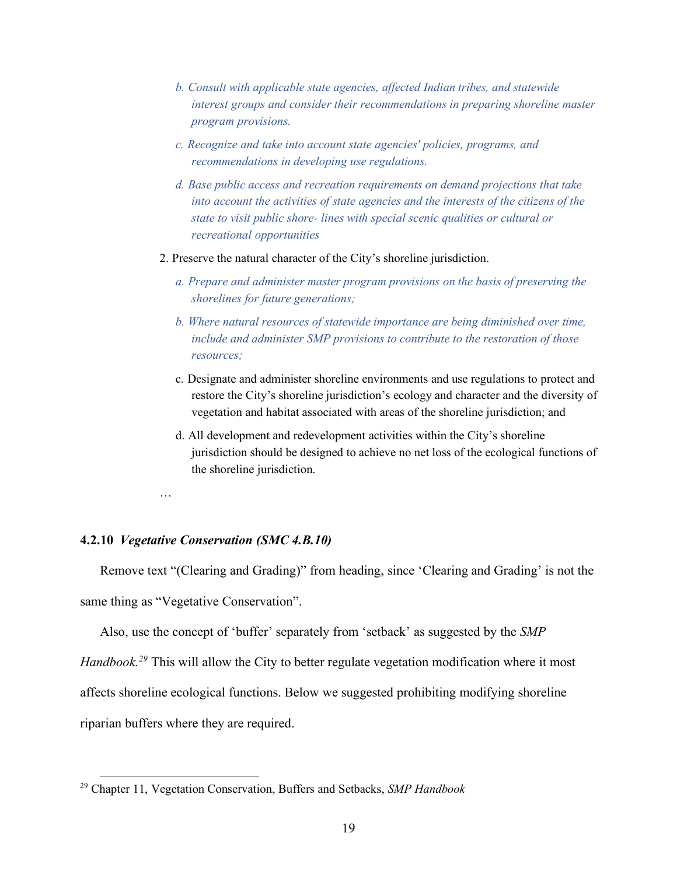- *b. Consult with applicable state agencies, affected Indian tribes, and statewide interest groups and consider their recommendations in preparing shoreline master program provisions.*
- *c. Recognize and take into account state agencies' policies, programs, and recommendations in developing use regulations.*
- *d. Base public access and recreation requirements on demand projections that take into account the activities of state agencies and the interests of the citizens of the state to visit public shore- lines with special scenic qualities or cultural or recreational opportunities*
- 2. Preserve the natural character of the City's shoreline jurisdiction.
	- *a. Prepare and administer master program provisions on the basis of preserving the shorelines for future generations;*
	- *b. Where natural resources of statewide importance are being diminished over time, include and administer SMP provisions to contribute to the restoration of those resources;*
	- c. Designate and administer shoreline environments and use regulations to protect and restore the City's shoreline jurisdiction's ecology and character and the diversity of vegetation and habitat associated with areas of the shoreline jurisdiction; and
	- d. All development and redevelopment activities within the City's shoreline jurisdiction should be designed to achieve no net loss of the ecological functions of the shoreline jurisdiction.

…

#### **4.2.10** *Vegetative Conservation (SMC 4.B.10)*

Remove text "(Clearing and Grading)" from heading, since 'Clearing and Grading' is not the same thing as "Vegetative Conservation".

Also, use the concept of 'buffer' separately from 'setback' as suggested by the *SMP Handbook. <sup>29</sup>* This will allow the City to better regulate vegetation modification where it most affects shoreline ecological functions. Below we suggested prohibiting modifying shoreline riparian buffers where they are required.

 <sup>29</sup> Chapter 11, Vegetation Conservation, Buffers and Setbacks, *SMP Handbook*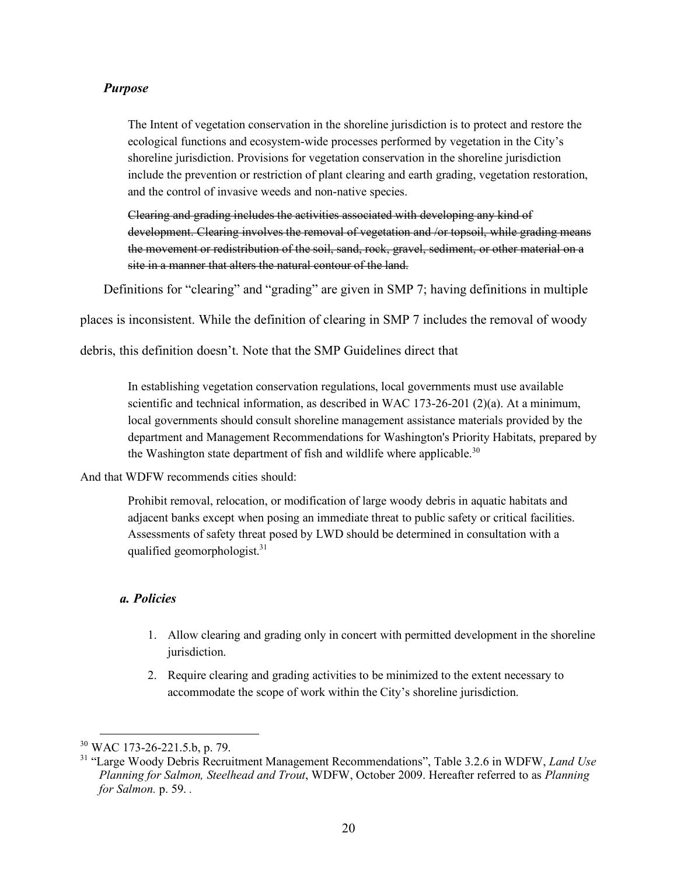#### *Purpose*

The Intent of vegetation conservation in the shoreline jurisdiction is to protect and restore the ecological functions and ecosystem-wide processes performed by vegetation in the City's shoreline jurisdiction. Provisions for vegetation conservation in the shoreline jurisdiction include the prevention or restriction of plant clearing and earth grading, vegetation restoration, and the control of invasive weeds and non-native species.

Clearing and grading includes the activities associated with developing any kind of development. Clearing involves the removal of vegetation and /or topsoil, while grading means the movement or redistribution of the soil, sand, rock, gravel, sediment, or other material on a site in a manner that alters the natural contour of the land.

Definitions for "clearing" and "grading" are given in SMP 7; having definitions in multiple

places is inconsistent. While the definition of clearing in SMP 7 includes the removal of woody

debris, this definition doesn't. Note that the SMP Guidelines direct that

In establishing vegetation conservation regulations, local governments must use available scientific and technical information, as described in WAC 173-26-201 (2)(a). At a minimum, local governments should consult shoreline management assistance materials provided by the department and Management Recommendations for Washington's Priority Habitats, prepared by the Washington state department of fish and wildlife where applicable.<sup>30</sup>

#### And that WDFW recommends cities should:

Prohibit removal, relocation, or modification of large woody debris in aquatic habitats and adjacent banks except when posing an immediate threat to public safety or critical facilities. Assessments of safety threat posed by LWD should be determined in consultation with a qualified geomorphologist.<sup>31</sup>

#### *a. Policies*

- 1. Allow clearing and grading only in concert with permitted development in the shoreline jurisdiction.
- 2. Require clearing and grading activities to be minimized to the extent necessary to accommodate the scope of work within the City's shoreline jurisdiction.

 <sup>30</sup> WAC 173-26-221.5.b, p. 79.

<sup>31</sup> "Large Woody Debris Recruitment Management Recommendations", Table 3.2.6 in WDFW, *Land Use Planning for Salmon, Steelhead and Trout*, WDFW, October 2009. Hereafter referred to as *Planning for Salmon.* p. 59. *.*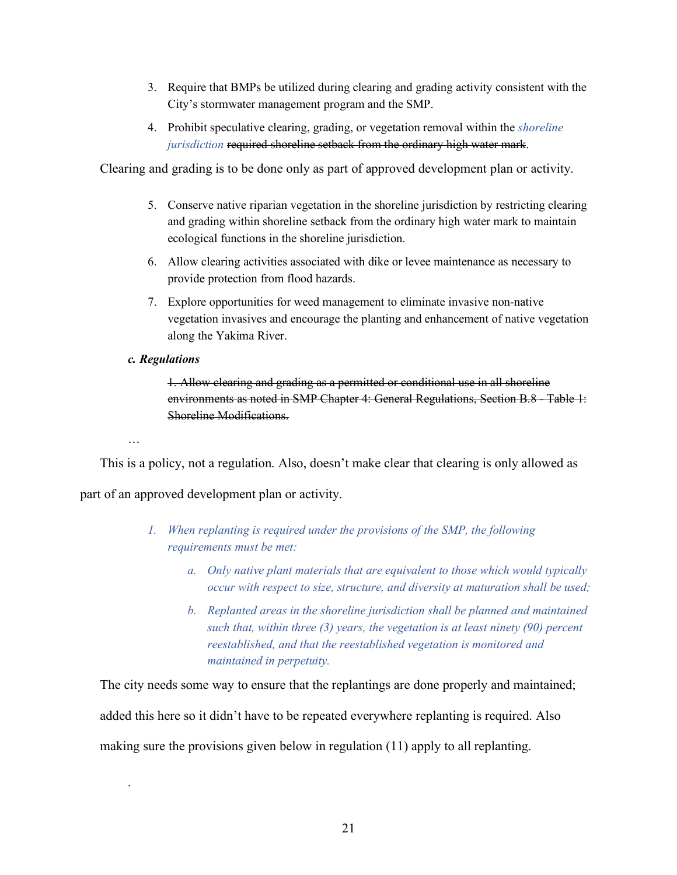- 3. Require that BMPs be utilized during clearing and grading activity consistent with the City's stormwater management program and the SMP.
- 4. Prohibit speculative clearing, grading, or vegetation removal within the *shoreline jurisdiction* required shoreline setback from the ordinary high water mark.

Clearing and grading is to be done only as part of approved development plan or activity.

- 5. Conserve native riparian vegetation in the shoreline jurisdiction by restricting clearing and grading within shoreline setback from the ordinary high water mark to maintain ecological functions in the shoreline jurisdiction.
- 6. Allow clearing activities associated with dike or levee maintenance as necessary to provide protection from flood hazards.
- 7. Explore opportunities for weed management to eliminate invasive non-native vegetation invasives and encourage the planting and enhancement of native vegetation along the Yakima River.
- *c. Regulations*

1. Allow clearing and grading as a permitted or conditional use in all shoreline environments as noted in SMP Chapter 4: General Regulations, Section B.8 - Table 1: Shoreline Modifications.

…

.

This is a policy, not a regulation. Also, doesn't make clear that clearing is only allowed as

part of an approved development plan or activity.

- *1. When replanting is required under the provisions of the SMP, the following requirements must be met:*
	- *a. Only native plant materials that are equivalent to those which would typically occur with respect to size, structure, and diversity at maturation shall be used;*
	- *b. Replanted areas in the shoreline jurisdiction shall be planned and maintained such that, within three (3) years, the vegetation is at least ninety (90) percent reestablished, and that the reestablished vegetation is monitored and maintained in perpetuity.*

The city needs some way to ensure that the replantings are done properly and maintained; added this here so it didn't have to be repeated everywhere replanting is required. Also making sure the provisions given below in regulation (11) apply to all replanting.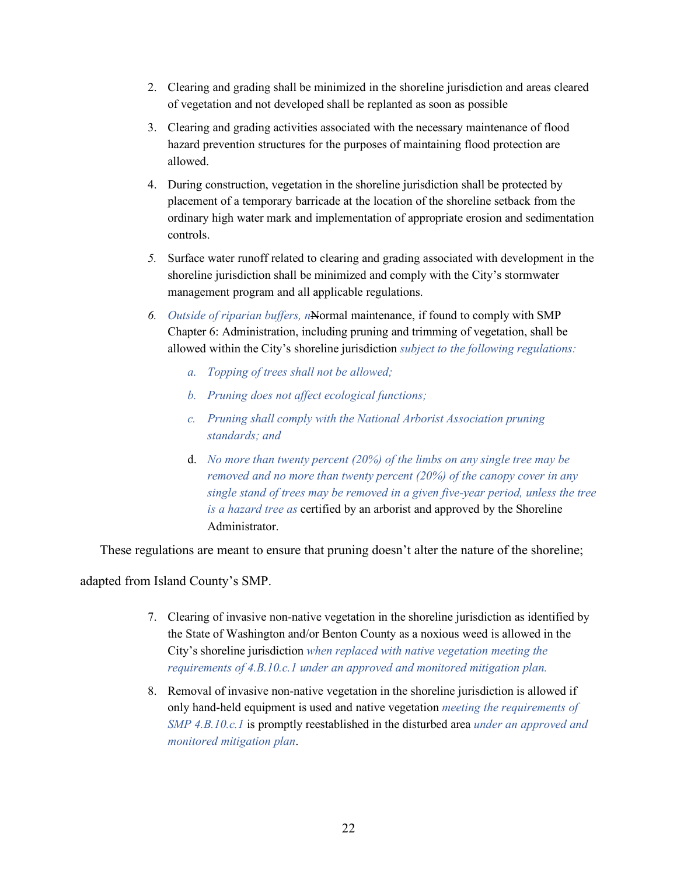- 2. Clearing and grading shall be minimized in the shoreline jurisdiction and areas cleared of vegetation and not developed shall be replanted as soon as possible
- 3. Clearing and grading activities associated with the necessary maintenance of flood hazard prevention structures for the purposes of maintaining flood protection are allowed.
- 4. During construction, vegetation in the shoreline jurisdiction shall be protected by placement of a temporary barricade at the location of the shoreline setback from the ordinary high water mark and implementation of appropriate erosion and sedimentation controls.
- *5.* Surface water runoff related to clearing and grading associated with development in the shoreline jurisdiction shall be minimized and comply with the City's stormwater management program and all applicable regulations.
- *6. Outside of riparian buffers, n*Normal maintenance, if found to comply with SMP Chapter 6: Administration, including pruning and trimming of vegetation, shall be allowed within the City's shoreline jurisdiction *subject to the following regulations:*
	- *a. Topping of trees shall not be allowed;*
	- *b. Pruning does not affect ecological functions;*
	- *c. Pruning shall comply with the National Arborist Association pruning standards; and*
	- d. *No more than twenty percent (20%) of the limbs on any single tree may be removed and no more than twenty percent (20%) of the canopy cover in any single stand of trees may be removed in a given five-year period, unless the tree is a hazard tree as* certified by an arborist and approved by the Shoreline Administrator.

These regulations are meant to ensure that pruning doesn't alter the nature of the shoreline;

adapted from Island County's SMP.

- 7. Clearing of invasive non-native vegetation in the shoreline jurisdiction as identified by the State of Washington and/or Benton County as a noxious weed is allowed in the City's shoreline jurisdiction *when replaced with native vegetation meeting the requirements of 4.B.10.c.1 under an approved and monitored mitigation plan.*
- 8. Removal of invasive non-native vegetation in the shoreline jurisdiction is allowed if only hand-held equipment is used and native vegetation *meeting the requirements of SMP 4.B.10.c.1* is promptly reestablished in the disturbed area *under an approved and monitored mitigation plan*.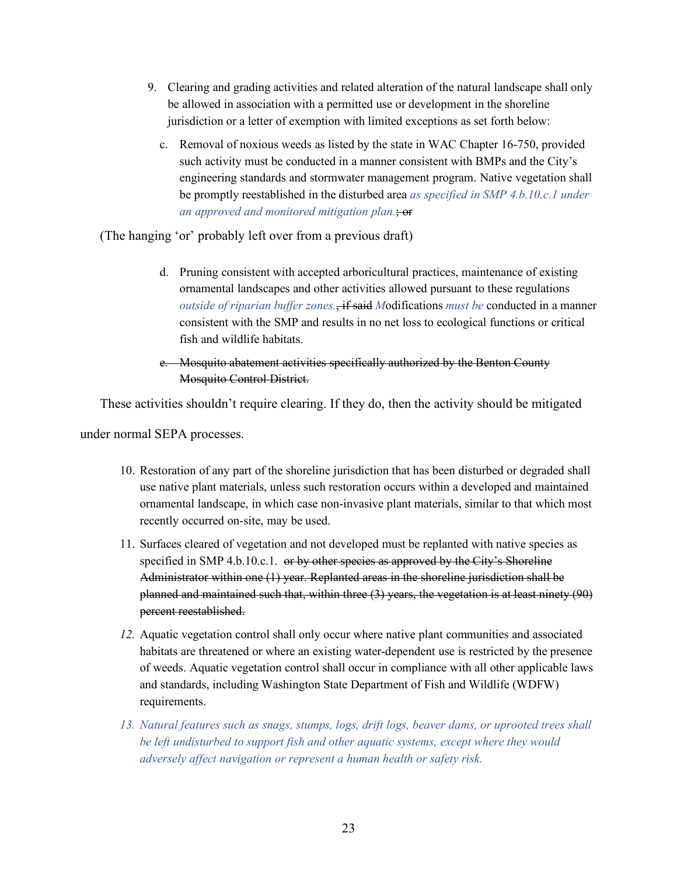- 9. Clearing and grading activities and related alteration of the natural landscape shall only be allowed in association with a permitted use or development in the shoreline jurisdiction or a letter of exemption with limited exceptions as set forth below:
	- c. Removal of noxious weeds as listed by the state in WAC Chapter 16-750, provided such activity must be conducted in a manner consistent with BMPs and the City's engineering standards and stormwater management program. Native vegetation shall be promptly reestablished in the disturbed area *as specified in SMP 4.b.10.c.1 under an approved and monitored mitigation plan.*; or

(The hanging 'or' probably left over from a previous draft)

- d. Pruning consistent with accepted arboricultural practices, maintenance of existing ornamental landscapes and other activities allowed pursuant to these regulations *outside of riparian buffer zones.*, if said *M*odifications *must be* conducted in a manner consistent with the SMP and results in no net loss to ecological functions or critical fish and wildlife habitats.
- e. Mosquito abatement activities specifically authorized by the Benton County Mosquito Control District.

These activities shouldn't require clearing. If they do, then the activity should be mitigated

under normal SEPA processes.

- 10. Restoration of any part of the shoreline jurisdiction that has been disturbed or degraded shall use native plant materials, unless such restoration occurs within a developed and maintained ornamental landscape, in which case non-invasive plant materials, similar to that which most recently occurred on-site, may be used.
- 11. Surfaces cleared of vegetation and not developed must be replanted with native species as specified in SMP 4.b.10.c.1. or by other species as approved by the City's Shoreline Administrator within one (1) year. Replanted areas in the shoreline jurisdiction shall be planned and maintained such that, within three (3) years, the vegetation is at least ninety (90) percent reestablished.
- *12.* Aquatic vegetation control shall only occur where native plant communities and associated habitats are threatened or where an existing water-dependent use is restricted by the presence of weeds. Aquatic vegetation control shall occur in compliance with all other applicable laws and standards, including Washington State Department of Fish and Wildlife (WDFW) requirements.
- *13. Natural features such as snags, stumps, logs, drift logs, beaver dams, or uprooted trees shall be left undisturbed to support fish and other aquatic systems, except where they would adversely affect navigation or represent a human health or safety risk.*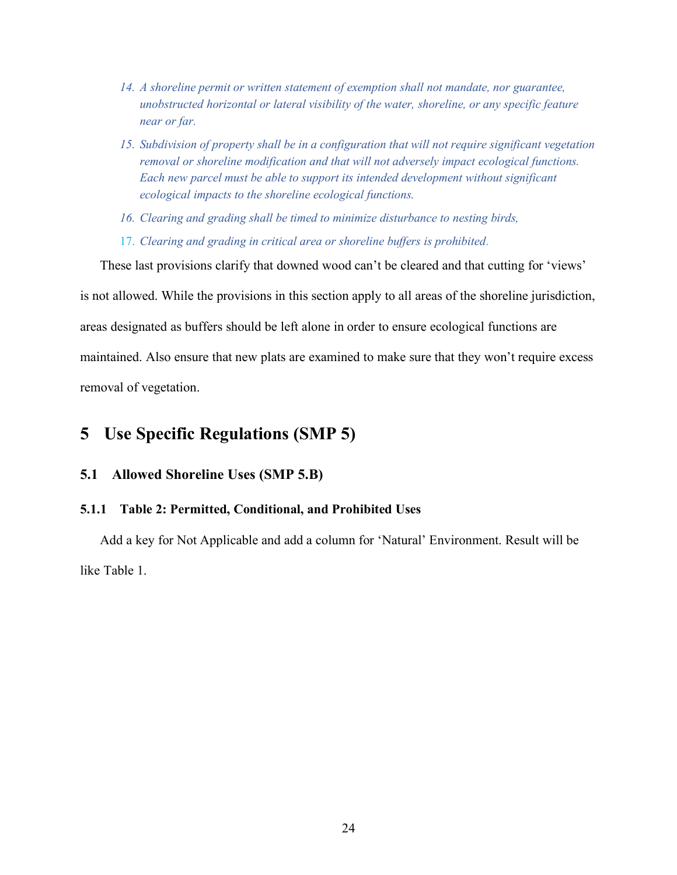- *14. A shoreline permit or written statement of exemption shall not mandate, nor guarantee, unobstructed horizontal or lateral visibility of the water, shoreline, or any specific feature near or far.*
- *15. Subdivision of property shall be in a configuration that will not require significant vegetation removal or shoreline modification and that will not adversely impact ecological functions. Each new parcel must be able to support its intended development without significant ecological impacts to the shoreline ecological functions.*
- *16. Clearing and grading shall be timed to minimize disturbance to nesting birds,*
- 17. *Clearing and grading in critical area or shoreline buffers is prohibited*.

These last provisions clarify that downed wood can't be cleared and that cutting for 'views'

is not allowed. While the provisions in this section apply to all areas of the shoreline jurisdiction, areas designated as buffers should be left alone in order to ensure ecological functions are maintained. Also ensure that new plats are examined to make sure that they won't require excess removal of vegetation.

## **5 Use Specific Regulations (SMP 5)**

#### **5.1 Allowed Shoreline Uses (SMP 5.B)**

#### **5.1.1 Table 2: Permitted, Conditional, and Prohibited Uses**

Add a key for Not Applicable and add a column for 'Natural' Environment. Result will be like Table 1.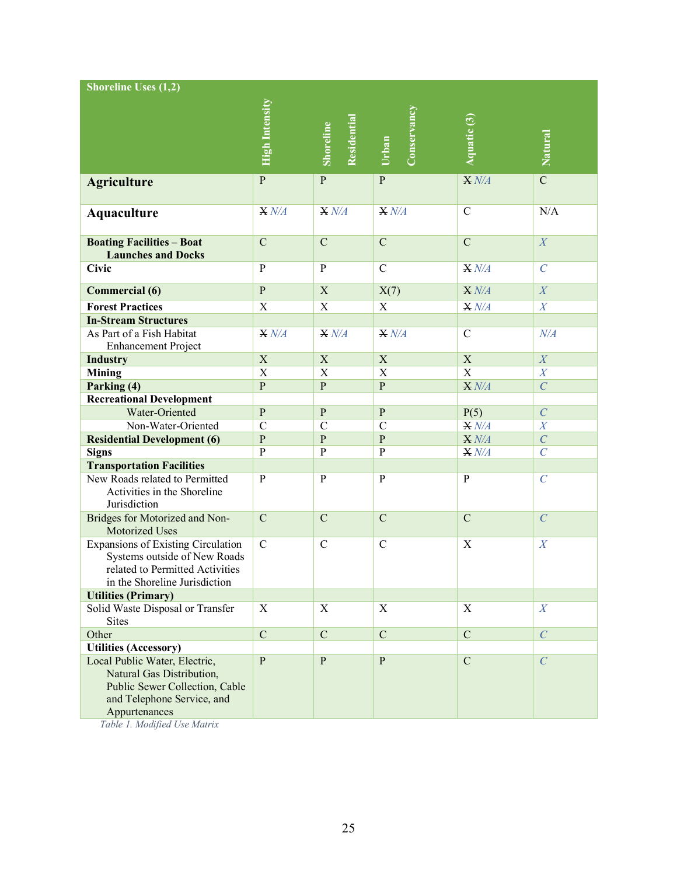| Shoreline Uses $(1,2)$                                                                                                                        |                |                         |                      |                    |                  |
|-----------------------------------------------------------------------------------------------------------------------------------------------|----------------|-------------------------|----------------------|--------------------|------------------|
|                                                                                                                                               | High Intensity | Residentia<br>Shoreline | Conservancy<br>Urban | <b>Aquatic (3)</b> | Natural          |
| <b>Agriculture</b>                                                                                                                            | ${\bf P}$      | $\mathbf{P}$            | $\mathbf{P}$         | X N/A              | $\mathbf C$      |
| <b>Aquaculture</b>                                                                                                                            | X N/A          | X N/A                   | X N/A                | $\mathcal{C}$      | N/A              |
| <b>Boating Facilities - Boat</b><br><b>Launches and Docks</b>                                                                                 | $\mathcal{C}$  | $\mathcal{C}$           | $\mathbf C$          | $\mathcal{C}$      | X                |
| <b>Civic</b>                                                                                                                                  | $\mathbf{P}$   | $\mathbf{P}$            | $\mathsf{C}$         | X N/A              | $\mathcal{C}$    |
| <b>Commercial (6)</b>                                                                                                                         | $\mathbf{P}$   | $\mathbf X$             | X(7)                 | X N/A              | $\boldsymbol{X}$ |
| <b>Forest Practices</b>                                                                                                                       | $\mathbf X$    | $\mathbf X$             | $\mathbf X$          | X N/A              | X                |
| <b>In-Stream Structures</b>                                                                                                                   |                |                         |                      |                    |                  |
| As Part of a Fish Habitat<br><b>Enhancement Project</b>                                                                                       | X N/A          | X N/A                   | X N/A                | $\mathcal{C}$      | N/A              |
| <b>Industry</b>                                                                                                                               | $\mathbf X$    | $\mathbf X$             | $\mathbf X$          | $\mathbf X$        | $\boldsymbol{X}$ |
| <b>Mining</b>                                                                                                                                 | $\mathbf X$    | $\mathbf X$             | $\mathbf X$          | $\mathbf X$        | X                |
| Parking (4)                                                                                                                                   | ${\bf P}$      | P                       | $\mathbf{P}$         | X N/A              | $\mathcal{C}$    |
| <b>Recreational Development</b>                                                                                                               |                |                         |                      |                    |                  |
| Water-Oriented                                                                                                                                | $\mathbf{P}$   | $\mathbf{P}$            | $\mathbf{P}$         | P(5)               | $\mathcal{C}$    |
| Non-Water-Oriented                                                                                                                            | $\mathcal{C}$  | $\mathcal{C}$           | $\mathcal{C}$        | X N/A              | X                |
| <b>Residential Development (6)</b>                                                                                                            | $\, {\bf p}$   | $\mathbf{P}$            | $\mathbf{P}$         | X N/A              | $\mathcal{C}$    |
| <b>Signs</b>                                                                                                                                  | ${\bf P}$      | $\mathbf{P}$            | $\mathbf{P}$         | X N/A              | $\mathcal{C}$    |
| <b>Transportation Facilities</b>                                                                                                              |                |                         |                      |                    |                  |
| New Roads related to Permitted<br>Activities in the Shoreline<br>Jurisdiction                                                                 | ${\bf P}$      | $\mathbf{P}$            | $\mathbf{P}$         | $\mathbf{P}$       | $\mathcal{C}$    |
| Bridges for Motorized and Non-<br>Motorized Uses                                                                                              | $\mathcal{C}$  | $\mathcal{C}$           | $\mathbf C$          | $\mathcal{C}$      | $\mathcal{C}$    |
| <b>Expansions of Existing Circulation</b><br>Systems outside of New Roads<br>related to Permitted Activities<br>in the Shoreline Jurisdiction | $\mathcal{C}$  | $\mathcal{C}$           | $\mathcal{C}$        | X                  | X                |
| <b>Utilities (Primary)</b>                                                                                                                    |                |                         |                      |                    |                  |
| Solid Waste Disposal or Transfer<br><b>Sites</b>                                                                                              | $\mathbf X$    | $\mathbf X$             | $\mathbf X$          | $\mathbf X$        | X                |
| Other                                                                                                                                         | $\mathcal{C}$  | $\mathbf C$             | $\overline{C}$       | $\overline{C}$     | $\overline{C}$   |
| <b>Utilities (Accessory)</b>                                                                                                                  |                |                         |                      |                    |                  |
| Local Public Water, Electric,                                                                                                                 | $\mathbf{P}$   | $\mathbf{P}$            | $\mathbf{P}$         | $\mathcal{C}$      | $\mathcal{C}$    |
| Natural Gas Distribution,<br>Public Sewer Collection, Cable<br>and Telephone Service, and<br>Appurtenances                                    |                |                         |                      |                    |                  |

*Table 1. Modified Use Matrix*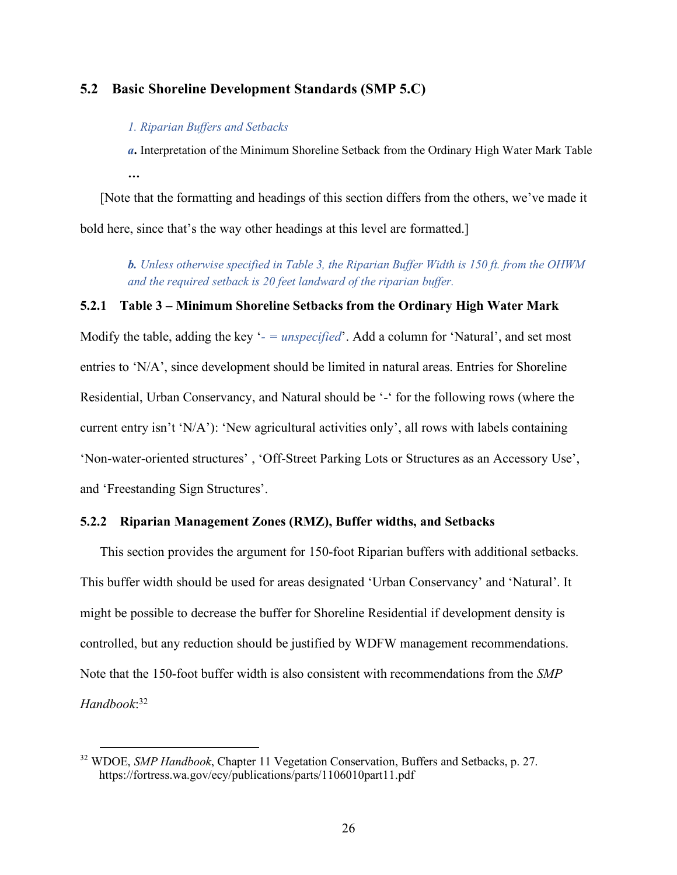#### **5.2 Basic Shoreline Development Standards (SMP 5.C)**

#### *1. Riparian Buffers and Setbacks*

*a***.** Interpretation of the Minimum Shoreline Setback from the Ordinary High Water Mark Table **…**

[Note that the formatting and headings of this section differs from the others, we've made it bold here, since that's the way other headings at this level are formatted.]

*b. Unless otherwise specified in Table 3, the Riparian Buffer Width is 150 ft. from the OHWM and the required setback is 20 feet landward of the riparian buffer.*

#### **5.2.1 Table 3 – Minimum Shoreline Setbacks from the Ordinary High Water Mark**

Modify the table, adding the key '- = *unspecified*'. Add a column for 'Natural', and set most entries to 'N/A', since development should be limited in natural areas. Entries for Shoreline Residential, Urban Conservancy, and Natural should be '-' for the following rows (where the current entry isn't 'N/A'): 'New agricultural activities only', all rows with labels containing 'Non-water-oriented structures' , 'Off-Street Parking Lots or Structures as an Accessory Use', and 'Freestanding Sign Structures'.

#### **5.2.2 Riparian Management Zones (RMZ), Buffer widths, and Setbacks**

This section provides the argument for 150-foot Riparian buffers with additional setbacks. This buffer width should be used for areas designated 'Urban Conservancy' and 'Natural'. It might be possible to decrease the buffer for Shoreline Residential if development density is controlled, but any reduction should be justified by WDFW management recommendations. Note that the 150-foot buffer width is also consistent with recommendations from the *SMP Handbook*: 32

 <sup>32</sup> WDOE, *SMP Handbook*, Chapter 11 Vegetation Conservation, Buffers and Setbacks, p. 27. https://fortress.wa.gov/ecy/publications/parts/1106010part11.pdf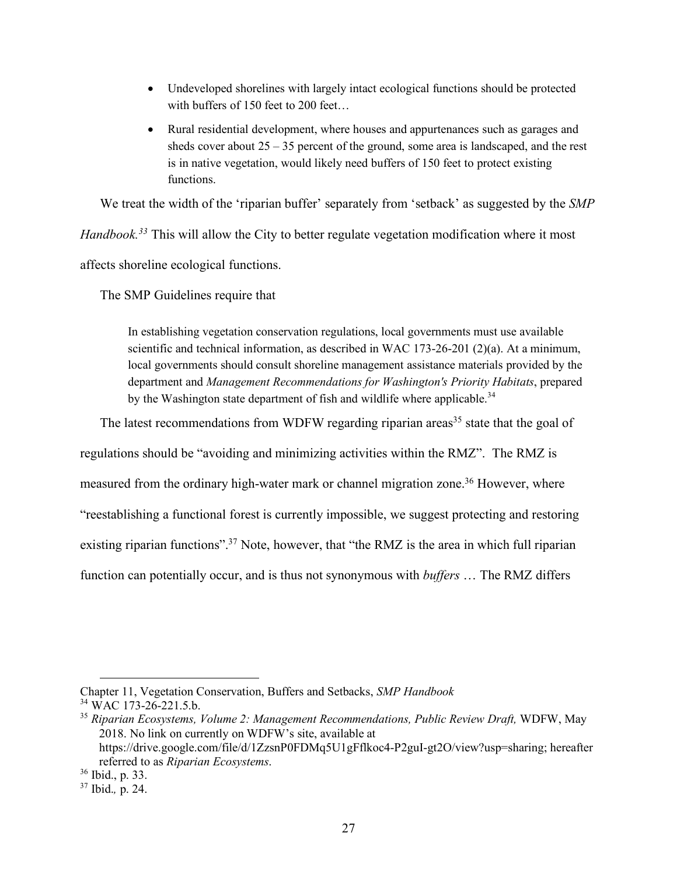- Undeveloped shorelines with largely intact ecological functions should be protected with buffers of 150 feet to 200 feet...
- Rural residential development, where houses and appurtenances such as garages and sheds cover about  $25 - 35$  percent of the ground, some area is landscaped, and the rest is in native vegetation, would likely need buffers of 150 feet to protect existing functions.

We treat the width of the 'riparian buffer' separately from 'setback' as suggested by the *SMP* 

*Handbook. <sup>33</sup>* This will allow the City to better regulate vegetation modification where it most

affects shoreline ecological functions.

The SMP Guidelines require that

In establishing vegetation conservation regulations, local governments must use available scientific and technical information, as described in WAC 173-26-201 (2)(a). At a minimum, local governments should consult shoreline management assistance materials provided by the department and *Management Recommendations for Washington's Priority Habitats*, prepared by the Washington state department of fish and wildlife where applicable.<sup>34</sup>

The latest recommendations from WDFW regarding riparian areas<sup>35</sup> state that the goal of

regulations should be "avoiding and minimizing activities within the RMZ". The RMZ is

measured from the ordinary high-water mark or channel migration zone.<sup>36</sup> However, where

"reestablishing a functional forest is currently impossible, we suggest protecting and restoring

existing riparian functions".<sup>37</sup> Note, however, that "the RMZ is the area in which full riparian

function can potentially occur, and is thus not synonymous with *buffers* … The RMZ differs

 $\overline{a}$ Chapter 11, Vegetation Conservation, Buffers and Setbacks, *SMP Handbook* <sup>34</sup> WAC 173-26-221.5.b.

<sup>35</sup> *Riparian Ecosystems, Volume 2: Management Recommendations, Public Review Draft,* WDFW, May 2018. No link on currently on WDFW's site, available at https://drive.google.com/file/d/1ZzsnP0FDMq5U1gFflkoc4-P2guI-gt2O/view?usp=sharing; hereafter referred to as *Riparian Ecosystems*. 36 Ibid., p. 33.

<sup>37</sup> Ibid.*,* p. 24.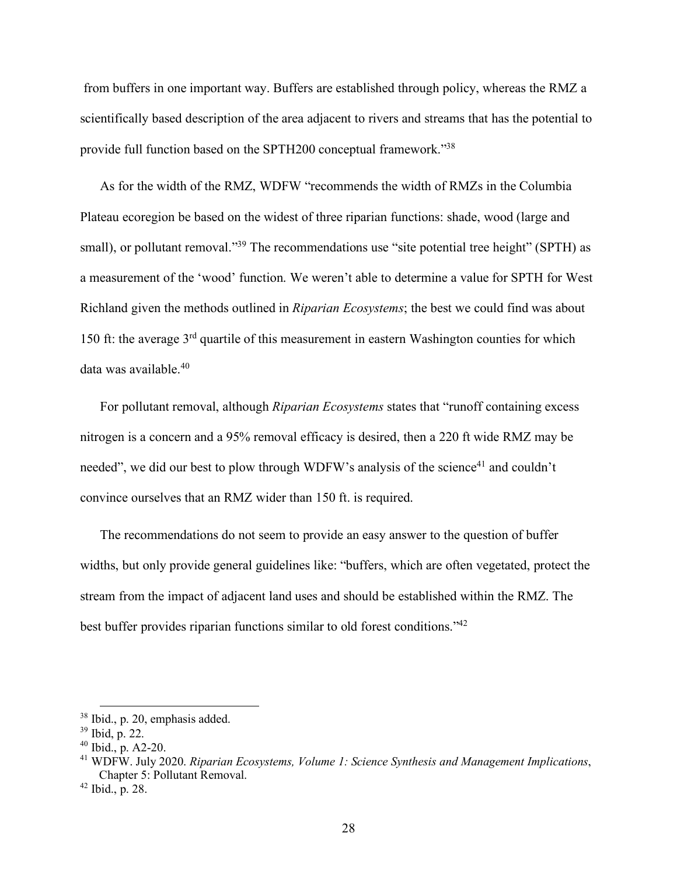from buffers in one important way. Buffers are established through policy, whereas the RMZ a scientifically based description of the area adjacent to rivers and streams that has the potential to provide full function based on the SPTH200 conceptual framework."38

As for the width of the RMZ, WDFW "recommends the width of RMZs in the Columbia Plateau ecoregion be based on the widest of three riparian functions: shade, wood (large and small), or pollutant removal."<sup>39</sup> The recommendations use "site potential tree height" (SPTH) as a measurement of the 'wood' function. We weren't able to determine a value for SPTH for West Richland given the methods outlined in *Riparian Ecosystems*; the best we could find was about 150 ft: the average 3rd quartile of this measurement in eastern Washington counties for which data was available.40

For pollutant removal, although *Riparian Ecosystems* states that "runoff containing excess nitrogen is a concern and a 95% removal efficacy is desired, then a 220 ft wide RMZ may be needed", we did our best to plow through WDFW's analysis of the science<sup>41</sup> and couldn't convince ourselves that an RMZ wider than 150 ft. is required.

The recommendations do not seem to provide an easy answer to the question of buffer widths, but only provide general guidelines like: "buffers, which are often vegetated, protect the stream from the impact of adjacent land uses and should be established within the RMZ. The best buffer provides riparian functions similar to old forest conditions."42

 <sup>38</sup> Ibid., p. 20, emphasis added.

<sup>39</sup> Ibid, p. 22.

 $40$  Ibid., p. A2-20.

<sup>41</sup> WDFW. July 2020. *Riparian Ecosystems, Volume 1: Science Synthesis and Management Implications*, Chapter 5: Pollutant Removal.

<sup>42</sup> Ibid., p. 28.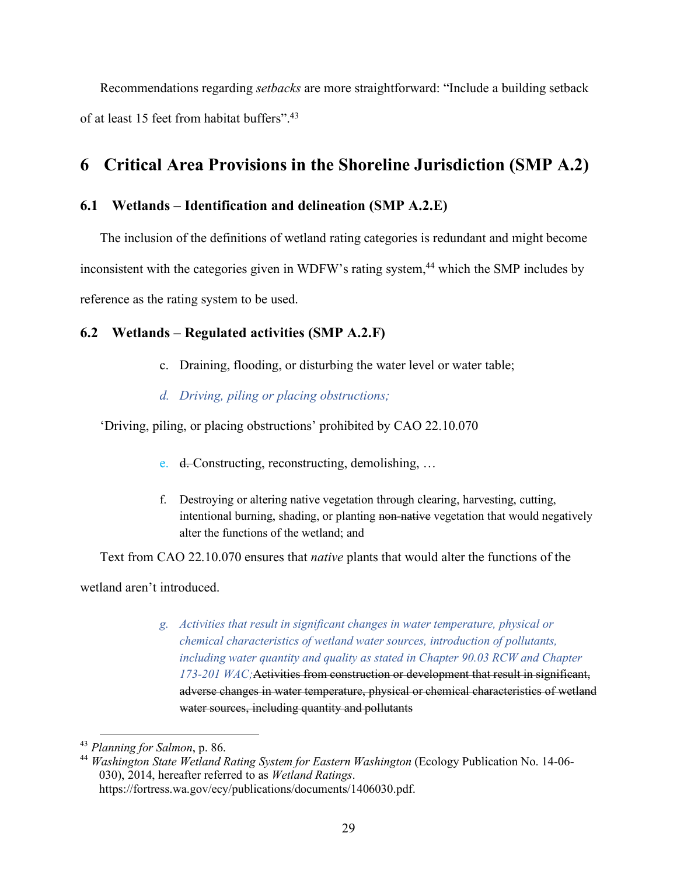Recommendations regarding *setbacks* are more straightforward: "Include a building setback of at least 15 feet from habitat buffers".43

## **6 Critical Area Provisions in the Shoreline Jurisdiction (SMP A.2)**

### **6.1 Wetlands – Identification and delineation (SMP A.2.E)**

The inclusion of the definitions of wetland rating categories is redundant and might become inconsistent with the categories given in WDFW's rating system,<sup>44</sup> which the SMP includes by reference as the rating system to be used.

### **6.2 Wetlands – Regulated activities (SMP A.2.F)**

- c. Draining, flooding, or disturbing the water level or water table;
- *d. Driving, piling or placing obstructions;*

'Driving, piling, or placing obstructions' prohibited by CAO 22.10.070

- e. d. Constructing, reconstructing, demolishing, …
- f. Destroying or altering native vegetation through clearing, harvesting, cutting, intentional burning, shading, or planting non-native vegetation that would negatively alter the functions of the wetland; and

Text from CAO 22.10.070 ensures that *native* plants that would alter the functions of the

wetland aren't introduced.

*g. Activities that result in significant changes in water temperature, physical or chemical characteristics of wetland water sources, introduction of pollutants, including water quantity and quality as stated in Chapter 90.03 RCW and Chapter 173-201 WAC;*Activities from construction or development that result in significant, adverse changes in water temperature, physical or chemical characteristics of wetland water sources, including quantity and pollutants

 <sup>43</sup> *Planning for Salmon*, p. 86.

<sup>44</sup> *Washington State Wetland Rating System for Eastern Washington* (Ecology Publication No. 14-06- 030), 2014, hereafter referred to as *Wetland Ratings*. https://fortress.wa.gov/ecy/publications/documents/1406030.pdf.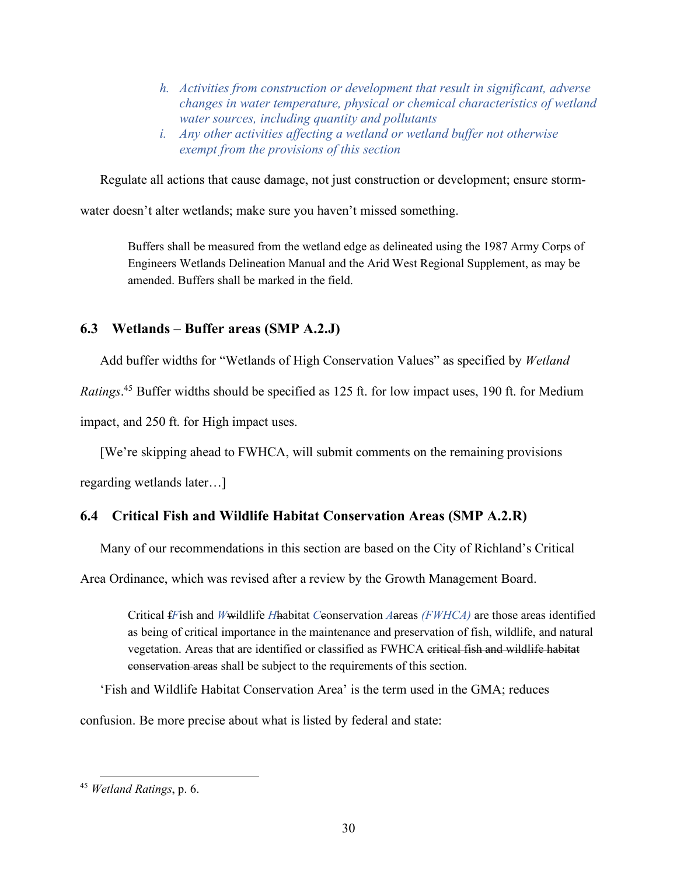- *h. Activities from construction or development that result in significant, adverse changes in water temperature, physical or chemical characteristics of wetland water sources, including quantity and pollutants*
- *i. Any other activities affecting a wetland or wetland buffer not otherwise exempt from the provisions of this section*

Regulate all actions that cause damage, not just construction or development; ensure storm-

water doesn't alter wetlands; make sure you haven't missed something.

Buffers shall be measured from the wetland edge as delineated using the 1987 Army Corps of Engineers Wetlands Delineation Manual and the Arid West Regional Supplement, as may be amended. Buffers shall be marked in the field.

#### **6.3 Wetlands – Buffer areas (SMP A.2.J)**

Add buffer widths for "Wetlands of High Conservation Values" as specified by *Wetland* 

*Ratings*. <sup>45</sup> Buffer widths should be specified as 125 ft. for low impact uses, 190 ft. for Medium

impact, and 250 ft. for High impact uses.

[We're skipping ahead to FWHCA, will submit comments on the remaining provisions

regarding wetlands later…]

#### **6.4 Critical Fish and Wildlife Habitat Conservation Areas (SMP A.2.R)**

Many of our recommendations in this section are based on the City of Richland's Critical

Area Ordinance, which was revised after a review by the Growth Management Board.

Critical f*F*ish and *W*wildlife *H*habitat *C*conservation *A*areas *(FWHCA)* are those areas identified as being of critical importance in the maintenance and preservation of fish, wildlife, and natural vegetation. Areas that are identified or classified as FWHCA critical fish and wildlife habitat conservation areas shall be subject to the requirements of this section.

'Fish and Wildlife Habitat Conservation Area' is the term used in the GMA; reduces

confusion. Be more precise about what is listed by federal and state:

 <sup>45</sup> *Wetland Ratings*, p. 6.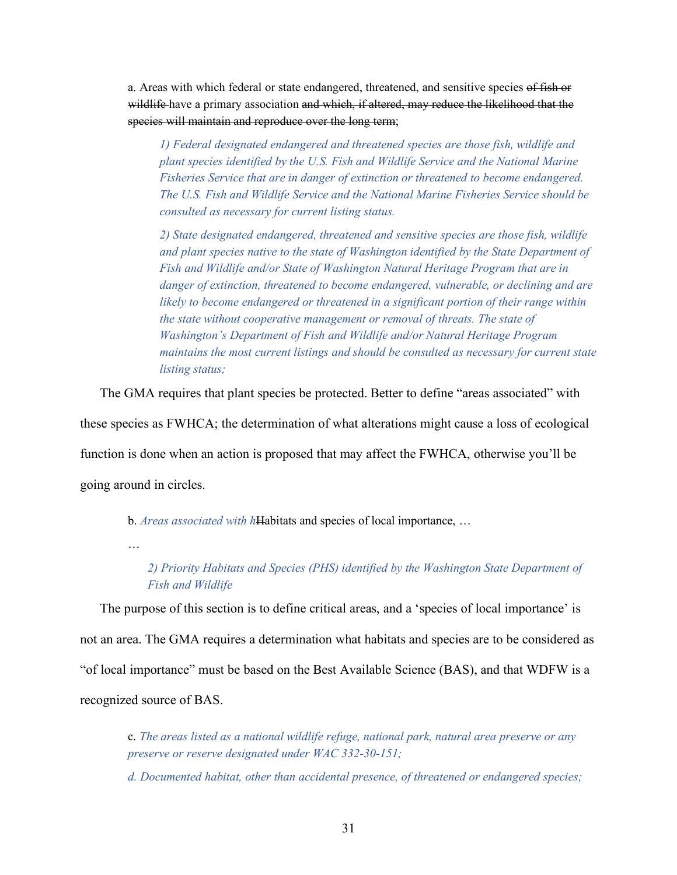a. Areas with which federal or state endangered, threatened, and sensitive species of fish or wildlife have a primary association and which, if altered, may reduce the likelihood that the species will maintain and reproduce over the long term;

*1) Federal designated endangered and threatened species are those fish, wildlife and plant species identified by the U.S. Fish and Wildlife Service and the National Marine Fisheries Service that are in danger of extinction or threatened to become endangered. The U.S. Fish and Wildlife Service and the National Marine Fisheries Service should be consulted as necessary for current listing status.*

*2) State designated endangered, threatened and sensitive species are those fish, wildlife and plant species native to the state of Washington identified by the State Department of Fish and Wildlife and/or State of Washington Natural Heritage Program that are in danger of extinction, threatened to become endangered, vulnerable, or declining and are likely to become endangered or threatened in a significant portion of their range within the state without cooperative management or removal of threats. The state of Washington's Department of Fish and Wildlife and/or Natural Heritage Program maintains the most current listings and should be consulted as necessary for current state listing status;*

The GMA requires that plant species be protected. Better to define "areas associated" with

these species as FWHCA; the determination of what alterations might cause a loss of ecological

function is done when an action is proposed that may affect the FWHCA, otherwise you'll be

going around in circles.

b. *Areas associated with h*Habitats and species of local importance, …

…

*2) Priority Habitats and Species (PHS) identified by the Washington State Department of Fish and Wildlife*

The purpose of this section is to define critical areas, and a 'species of local importance' is not an area. The GMA requires a determination what habitats and species are to be considered as "of local importance" must be based on the Best Available Science (BAS), and that WDFW is a recognized source of BAS.

c. *The areas listed as a national wildlife refuge, national park, natural area preserve or any preserve or reserve designated under WAC 332-30-151;* 

*d. Documented habitat, other than accidental presence, of threatened or endangered species;*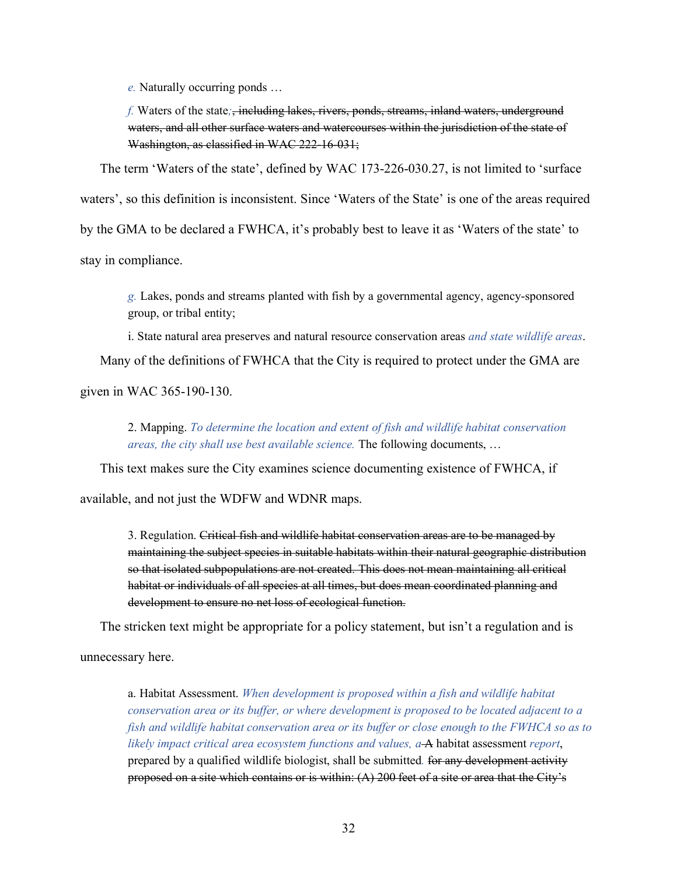*e.* Naturally occurring ponds …

*f.* Waters of the state*;*, including lakes, rivers, ponds, streams, inland waters, underground waters, and all other surface waters and watercourses within the jurisdiction of the state of Washington, as classified in WAC 222-16-031;

The term 'Waters of the state', defined by WAC 173-226-030.27, is not limited to 'surface waters', so this definition is inconsistent. Since 'Waters of the State' is one of the areas required by the GMA to be declared a FWHCA, it's probably best to leave it as 'Waters of the state' to stay in compliance.

*g.* Lakes, ponds and streams planted with fish by a governmental agency, agency-sponsored group, or tribal entity;

i. State natural area preserves and natural resource conservation areas *and state wildlife areas*. Many of the definitions of FWHCA that the City is required to protect under the GMA are

given in WAC 365-190-130.

2. Mapping. *To determine the location and extent of fish and wildlife habitat conservation areas, the city shall use best available science.* The following documents, …

This text makes sure the City examines science documenting existence of FWHCA, if

available, and not just the WDFW and WDNR maps.

3. Regulation. Critical fish and wildlife habitat conservation areas are to be managed by maintaining the subject species in suitable habitats within their natural geographic distribution so that isolated subpopulations are not created. This does not mean maintaining all critical habitat or individuals of all species at all times, but does mean coordinated planning and development to ensure no net loss of ecological function.

The stricken text might be appropriate for a policy statement, but isn't a regulation and is

unnecessary here.

a. Habitat Assessment. *When development is proposed within a fish and wildlife habitat conservation area or its buffer, or where development is proposed to be located adjacent to a fish and wildlife habitat conservation area or its buffer or close enough to the FWHCA so as to likely impact critical area ecosystem functions and values, a* A habitat assessment *report*, prepared by a qualified wildlife biologist, shall be submitted*.* for any development activity proposed on a site which contains or is within: (A) 200 feet of a site or area that the City's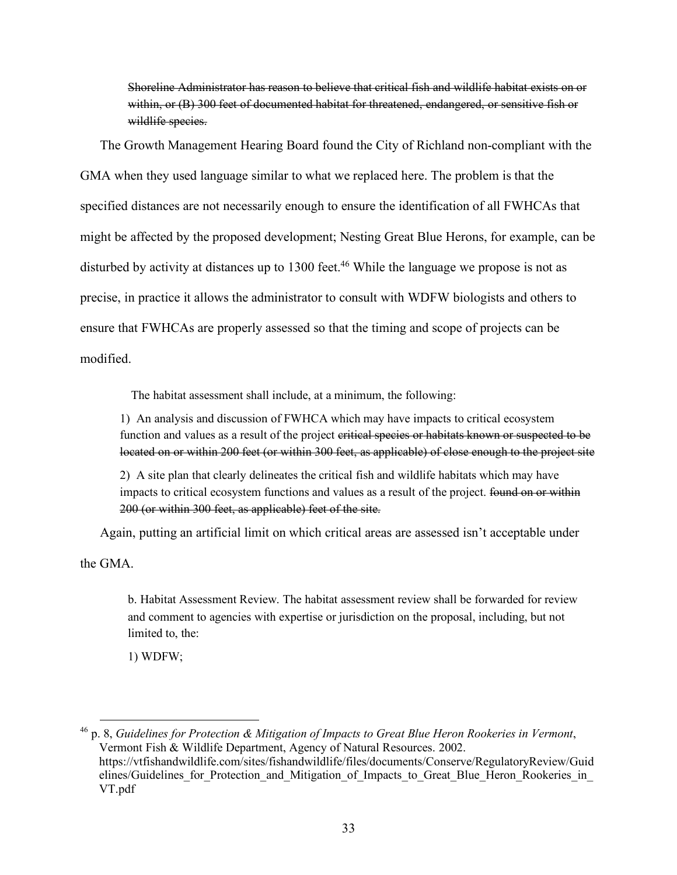Shoreline Administrator has reason to believe that critical fish and wildlife habitat exists on or within, or (B) 300 feet of documented habitat for threatened, endangered, or sensitive fish or wildlife species.

The Growth Management Hearing Board found the City of Richland non-compliant with the GMA when they used language similar to what we replaced here. The problem is that the specified distances are not necessarily enough to ensure the identification of all FWHCAs that might be affected by the proposed development; Nesting Great Blue Herons, for example, can be disturbed by activity at distances up to 1300 feet.<sup>46</sup> While the language we propose is not as precise, in practice it allows the administrator to consult with WDFW biologists and others to ensure that FWHCAs are properly assessed so that the timing and scope of projects can be modified.

The habitat assessment shall include, at a minimum, the following:

1) An analysis and discussion of FWHCA which may have impacts to critical ecosystem function and values as a result of the project eritical species or habitats known or suspected to be located on or within 200 feet (or within 300 feet, as applicable) of close enough to the project site

2) A site plan that clearly delineates the critical fish and wildlife habitats which may have impacts to critical ecosystem functions and values as a result of the project. found on or within 200 (or within 300 feet, as applicable) feet of the site.

Again, putting an artificial limit on which critical areas are assessed isn't acceptable under

the GMA.

b. Habitat Assessment Review. The habitat assessment review shall be forwarded for review and comment to agencies with expertise or jurisdiction on the proposal, including, but not limited to, the:

1) WDFW;

 46 p. 8, *Guidelines for Protection & Mitigation of Impacts to Great Blue Heron Rookeries in Vermont*, Vermont Fish & Wildlife Department, Agency of Natural Resources. 2002. https://vtfishandwildlife.com/sites/fishandwildlife/files/documents/Conserve/RegulatoryReview/Guid elines/Guidelines for Protection and Mitigation of Impacts to Great Blue Heron Rookeries in VT.pdf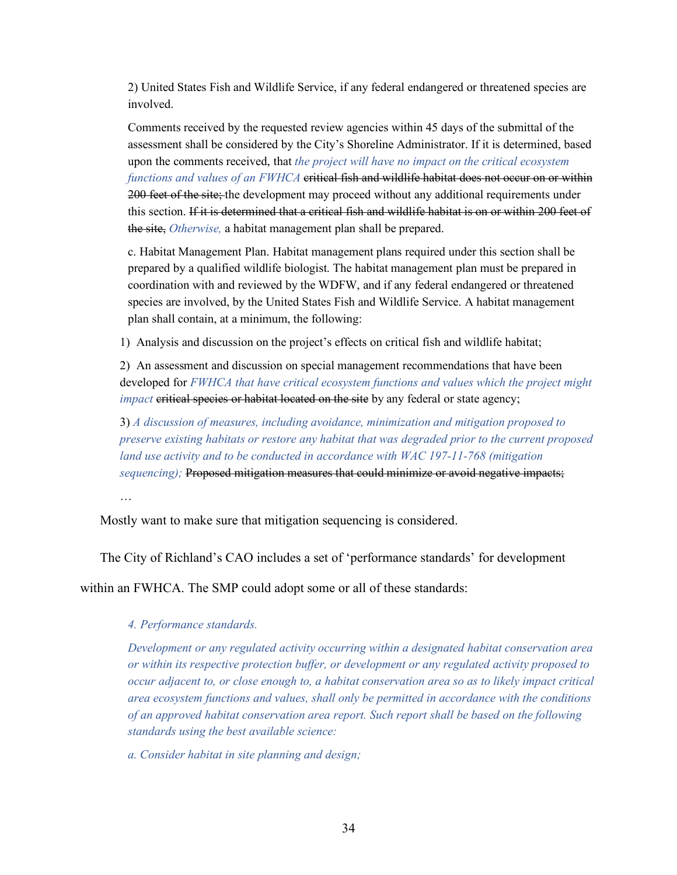2) United States Fish and Wildlife Service, if any federal endangered or threatened species are involved.

Comments received by the requested review agencies within 45 days of the submittal of the assessment shall be considered by the City's Shoreline Administrator. If it is determined, based upon the comments received, that *the project will have no impact on the critical ecosystem functions and values of an FWHCA* critical fish and wildlife habitat does not occur on or within 200 feet of the site; the development may proceed without any additional requirements under this section. If it is determined that a critical fish and wildlife habitat is on or within 200 feet of the site, *Otherwise,* a habitat management plan shall be prepared.

c. Habitat Management Plan. Habitat management plans required under this section shall be prepared by a qualified wildlife biologist. The habitat management plan must be prepared in coordination with and reviewed by the WDFW, and if any federal endangered or threatened species are involved, by the United States Fish and Wildlife Service. A habitat management plan shall contain, at a minimum, the following:

1) Analysis and discussion on the project's effects on critical fish and wildlife habitat;

2) An assessment and discussion on special management recommendations that have been developed for *FWHCA that have critical ecosystem functions and values which the project might impact* critical species or habitat located on the site by any federal or state agency;

3) *A discussion of measures, including avoidance, minimization and mitigation proposed to preserve existing habitats or restore any habitat that was degraded prior to the current proposed land use activity and to be conducted in accordance with WAC 197-11-768 (mitigation sequencing*); Proposed mitigation measures that could minimize or avoid negative impacts;

…

Mostly want to make sure that mitigation sequencing is considered.

The City of Richland's CAO includes a set of 'performance standards' for development

within an FWHCA. The SMP could adopt some or all of these standards:

#### *4. Performance standards.*

*Development or any regulated activity occurring within a designated habitat conservation area or within its respective protection buffer, or development or any regulated activity proposed to occur adjacent to, or close enough to, a habitat conservation area so as to likely impact critical area ecosystem functions and values, shall only be permitted in accordance with the conditions of an approved habitat conservation area report. Such report shall be based on the following standards using the best available science:*

*a. Consider habitat in site planning and design;*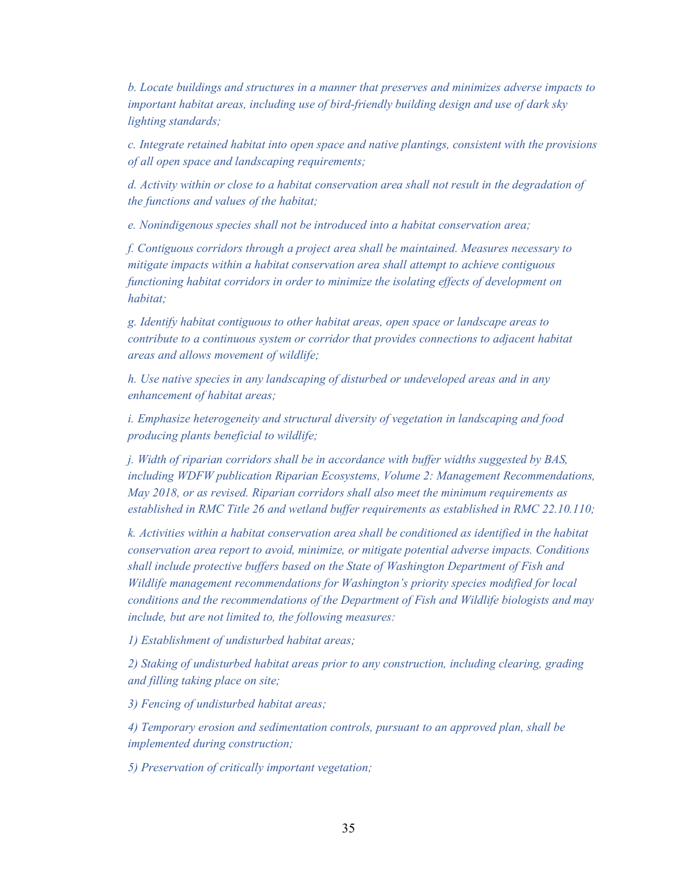*b. Locate buildings and structures in a manner that preserves and minimizes adverse impacts to important habitat areas, including use of bird-friendly building design and use of dark sky lighting standards;*

*c. Integrate retained habitat into open space and native plantings, consistent with the provisions of all open space and landscaping requirements;*

*d. Activity within or close to a habitat conservation area shall not result in the degradation of the functions and values of the habitat;*

*e. Nonindigenous species shall not be introduced into a habitat conservation area;*

*f. Contiguous corridors through a project area shall be maintained. Measures necessary to mitigate impacts within a habitat conservation area shall attempt to achieve contiguous functioning habitat corridors in order to minimize the isolating effects of development on habitat;*

*g. Identify habitat contiguous to other habitat areas, open space or landscape areas to contribute to a continuous system or corridor that provides connections to adjacent habitat areas and allows movement of wildlife;*

*h. Use native species in any landscaping of disturbed or undeveloped areas and in any enhancement of habitat areas;*

*i. Emphasize heterogeneity and structural diversity of vegetation in landscaping and food producing plants beneficial to wildlife;*

*j. Width of riparian corridors shall be in accordance with buffer widths suggested by BAS, including WDFW publication Riparian Ecosystems, Volume 2: Management Recommendations, May 2018, or as revised. Riparian corridors shall also meet the minimum requirements as established in RMC Title 26 and wetland buffer requirements as established in RMC 22.10.110;*

*k. Activities within a habitat conservation area shall be conditioned as identified in the habitat conservation area report to avoid, minimize, or mitigate potential adverse impacts. Conditions shall include protective buffers based on the State of Washington Department of Fish and Wildlife management recommendations for Washington's priority species modified for local conditions and the recommendations of the Department of Fish and Wildlife biologists and may include, but are not limited to, the following measures:*

*1) Establishment of undisturbed habitat areas;*

*2) Staking of undisturbed habitat areas prior to any construction, including clearing, grading and filling taking place on site;*

*3) Fencing of undisturbed habitat areas;*

*4) Temporary erosion and sedimentation controls, pursuant to an approved plan, shall be implemented during construction;*

*5) Preservation of critically important vegetation;*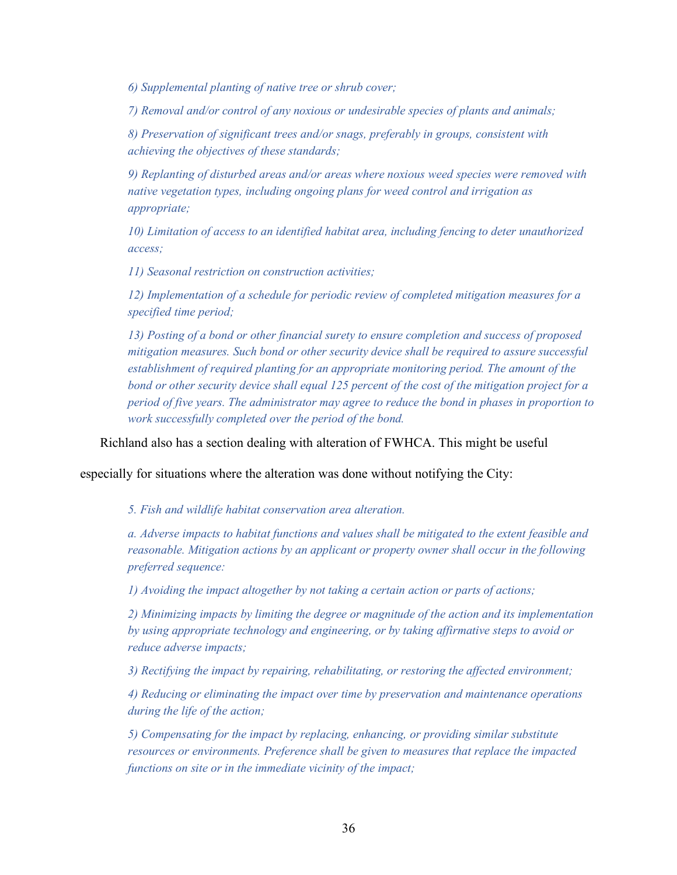*6) Supplemental planting of native tree or shrub cover;*

*7) Removal and/or control of any noxious or undesirable species of plants and animals;*

*8) Preservation of significant trees and/or snags, preferably in groups, consistent with achieving the objectives of these standards;*

*9) Replanting of disturbed areas and/or areas where noxious weed species were removed with native vegetation types, including ongoing plans for weed control and irrigation as appropriate;*

*10) Limitation of access to an identified habitat area, including fencing to deter unauthorized access;*

*11) Seasonal restriction on construction activities;*

*12) Implementation of a schedule for periodic review of completed mitigation measures for a specified time period;*

*13) Posting of a bond or other financial surety to ensure completion and success of proposed mitigation measures. Such bond or other security device shall be required to assure successful establishment of required planting for an appropriate monitoring period. The amount of the bond or other security device shall equal 125 percent of the cost of the mitigation project for a period of five years. The administrator may agree to reduce the bond in phases in proportion to work successfully completed over the period of the bond.*

Richland also has a section dealing with alteration of FWHCA. This might be useful

especially for situations where the alteration was done without notifying the City:

*5. Fish and wildlife habitat conservation area alteration.*

*a. Adverse impacts to habitat functions and values shall be mitigated to the extent feasible and reasonable. Mitigation actions by an applicant or property owner shall occur in the following preferred sequence:*

*1) Avoiding the impact altogether by not taking a certain action or parts of actions;*

*2) Minimizing impacts by limiting the degree or magnitude of the action and its implementation by using appropriate technology and engineering, or by taking affirmative steps to avoid or reduce adverse impacts;*

*3) Rectifying the impact by repairing, rehabilitating, or restoring the affected environment;*

*4) Reducing or eliminating the impact over time by preservation and maintenance operations during the life of the action;*

*5) Compensating for the impact by replacing, enhancing, or providing similar substitute resources or environments. Preference shall be given to measures that replace the impacted functions on site or in the immediate vicinity of the impact;*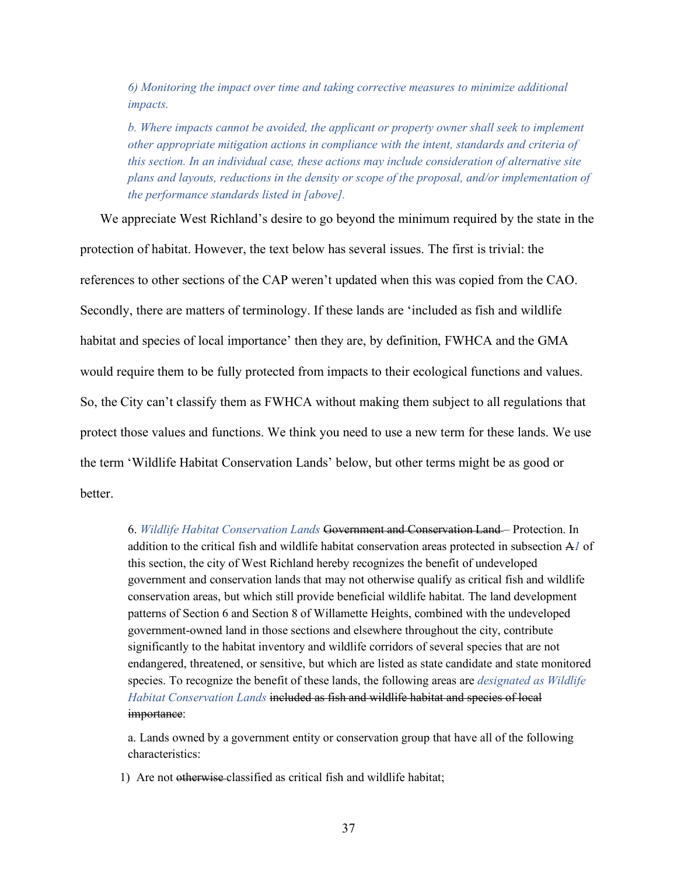*6) Monitoring the impact over time and taking corrective measures to minimize additional impacts.*

*b. Where impacts cannot be avoided, the applicant or property owner shall seek to implement other appropriate mitigation actions in compliance with the intent, standards and criteria of this section. In an individual case, these actions may include consideration of alternative site plans and layouts, reductions in the density or scope of the proposal, and/or implementation of the performance standards listed in [above].*

We appreciate West Richland's desire to go beyond the minimum required by the state in the protection of habitat. However, the text below has several issues. The first is trivial: the references to other sections of the CAP weren't updated when this was copied from the CAO. Secondly, there are matters of terminology. If these lands are 'included as fish and wildlife habitat and species of local importance' then they are, by definition, FWHCA and the GMA would require them to be fully protected from impacts to their ecological functions and values. So, the City can't classify them as FWHCA without making them subject to all regulations that protect those values and functions. We think you need to use a new term for these lands. We use the term 'Wildlife Habitat Conservation Lands' below, but other terms might be as good or better.

6. *Wildlife Habitat Conservation Lands* Government and Conservation Land – Protection. In addition to the critical fish and wildlife habitat conservation areas protected in subsection A*1* of this section, the city of West Richland hereby recognizes the benefit of undeveloped government and conservation lands that may not otherwise qualify as critical fish and wildlife conservation areas, but which still provide beneficial wildlife habitat. The land development patterns of Section 6 and Section 8 of Willamette Heights, combined with the undeveloped government-owned land in those sections and elsewhere throughout the city, contribute significantly to the habitat inventory and wildlife corridors of several species that are not endangered, threatened, or sensitive, but which are listed as state candidate and state monitored species. To recognize the benefit of these lands, the following areas are *designated as Wildlife Habitat Conservation Lands* included as fish and wildlife habitat and species of local importance:

a. Lands owned by a government entity or conservation group that have all of the following characteristics:

1) Are not otherwise classified as critical fish and wildlife habitat;